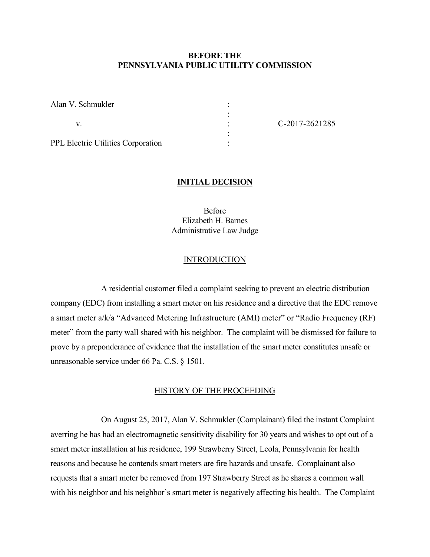# **BEFORE THE PENNSYLVANIA PUBLIC UTILITY COMMISSION**

| Alan V. Schmukler                         |                |
|-------------------------------------------|----------------|
|                                           |                |
|                                           | C-2017-2621285 |
|                                           |                |
| <b>PPL Electric Utilities Corporation</b> |                |
|                                           |                |

### **INITIAL DECISION**

Before Elizabeth H. Barnes Administrative Law Judge

## **INTRODUCTION**

A residential customer filed a complaint seeking to prevent an electric distribution company (EDC) from installing a smart meter on his residence and a directive that the EDC remove a smart meter a/k/a "Advanced Metering Infrastructure (AMI) meter" or "Radio Frequency (RF) meter" from the party wall shared with his neighbor. The complaint will be dismissed for failure to prove by a preponderance of evidence that the installation of the smart meter constitutes unsafe or unreasonable service under 66 Pa. C.S. § 1501.

#### HISTORY OF THE PROCEEDING

On August 25, 2017, Alan V. Schmukler (Complainant) filed the instant Complaint averring he has had an electromagnetic sensitivity disability for 30 years and wishes to opt out of a smart meter installation at his residence, 199 Strawberry Street, Leola, Pennsylvania for health reasons and because he contends smart meters are fire hazards and unsafe. Complainant also requests that a smart meter be removed from 197 Strawberry Street as he shares a common wall with his neighbor and his neighbor's smart meter is negatively affecting his health. The Complaint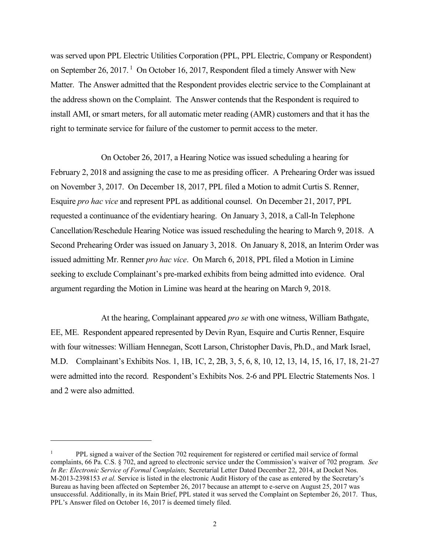was served upon PPL Electric Utilities Corporation (PPL, PPL Electric, Company or Respondent) on September 26, 2017.<sup>1</sup> On October 16, 2017, Respondent filed a timely Answer with New Matter. The Answer admitted that the Respondent provides electric service to the Complainant at the address shown on the Complaint. The Answer contends that the Respondent is required to install AMI, or smart meters, for all automatic meter reading (AMR) customers and that it has the right to terminate service for failure of the customer to permit access to the meter.

On October 26, 2017, a Hearing Notice was issued scheduling a hearing for February 2, 2018 and assigning the case to me as presiding officer. A Prehearing Order was issued on November 3, 2017. On December 18, 2017, PPL filed a Motion to admit Curtis S. Renner, Esquire *pro hac vice* and represent PPL as additional counsel. On December 21, 2017, PPL requested a continuance of the evidentiary hearing. On January 3, 2018, a Call-In Telephone Cancellation/Reschedule Hearing Notice was issued rescheduling the hearing to March 9, 2018. A Second Prehearing Order was issued on January 3, 2018. On January 8, 2018, an Interim Order was issued admitting Mr. Renner *pro hac vice*. On March 6, 2018, PPL filed a Motion in Limine seeking to exclude Complainant's pre-marked exhibits from being admitted into evidence. Oral argument regarding the Motion in Limine was heard at the hearing on March 9, 2018.

At the hearing, Complainant appeared *pro se* with one witness, William Bathgate, EE, ME. Respondent appeared represented by Devin Ryan, Esquire and Curtis Renner, Esquire with four witnesses: William Hennegan, Scott Larson, Christopher Davis, Ph.D., and Mark Israel, M.D. Complainant's Exhibits Nos. 1, 1B, 1C, 2, 2B, 3, 5, 6, 8, 10, 12, 13, 14, 15, 16, 17, 18, 21-27 were admitted into the record. Respondent's Exhibits Nos. 2-6 and PPL Electric Statements Nos. 1 and 2 were also admitted.

<sup>&</sup>lt;sup>1</sup> PPL signed a waiver of the Section 702 requirement for registered or certified mail service of formal complaints, 66 Pa. C.S. § 702, and agreed to electronic service under the Commission's waiver of 702 program. *See In Re: Electronic Service of Formal Complaints,* Secretarial Letter Dated December 22, 2014, at Docket Nos. M-2013-2398153 *et al.* Service is listed in the electronic Audit History of the case as entered by the Secretary's Bureau as having been affected on September 26, 2017 because an attempt to e-serve on August 25, 2017 was unsuccessful. Additionally, in its Main Brief, PPL stated it was served the Complaint on September 26, 2017. Thus, PPL's Answer filed on October 16, 2017 is deemed timely filed.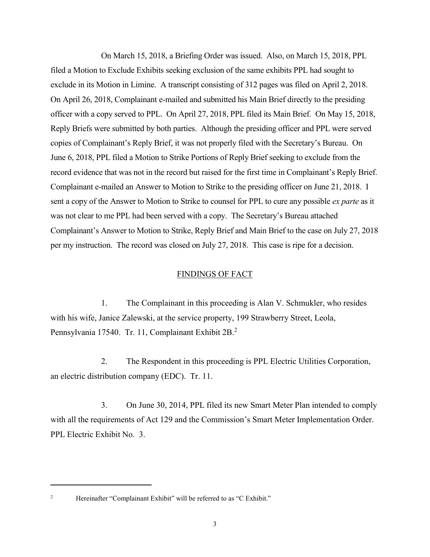On March 15, 2018, a Briefing Order was issued. Also, on March 15, 2018, PPL filed a Motion to Exclude Exhibits seeking exclusion of the same exhibits PPL had sought to exclude in its Motion in Limine. A transcript consisting of 312 pages was filed on April 2, 2018. On April 26, 2018, Complainant e-mailed and submitted his Main Brief directly to the presiding officer with a copy served to PPL. On April 27, 2018, PPL filed its Main Brief. On May 15, 2018, Reply Briefs were submitted by both parties. Although the presiding officer and PPL were served copies of Complainant's Reply Brief, it was not properly filed with the Secretary's Bureau. On June 6, 2018, PPL filed a Motion to Strike Portions of Reply Brief seeking to exclude from the record evidence that was not in the record but raised for the first time in Complainant's Reply Brief. Complainant e-mailed an Answer to Motion to Strike to the presiding officer on June 21, 2018. I sent a copy of the Answer to Motion to Strike to counsel for PPL to cure any possible *ex parte* as it was not clear to me PPL had been served with a copy. The Secretary's Bureau attached Complainant's Answer to Motion to Strike, Reply Brief and Main Brief to the case on July 27, 2018 per my instruction. The record was closed on July 27, 2018. This case is ripe for a decision.

## FINDINGS OF FACT

1. The Complainant in this proceeding is Alan V. Schmukler, who resides with his wife, Janice Zalewski, at the service property, 199 Strawberry Street, Leola, Pennsylvania 17540. Tr. 11, Complainant Exhibit 2B.<sup>2</sup>

2. The Respondent in this proceeding is PPL Electric Utilities Corporation, an electric distribution company (EDC). Tr. 11.

3. On June 30, 2014, PPL filed its new Smart Meter Plan intended to comply with all the requirements of Act 129 and the Commission's Smart Meter Implementation Order. PPL Electric Exhibit No. 3.

 $\overline{a}$ 

<sup>&</sup>lt;sup>2</sup> Hereinafter "Complainant Exhibit" will be referred to as "C Exhibit."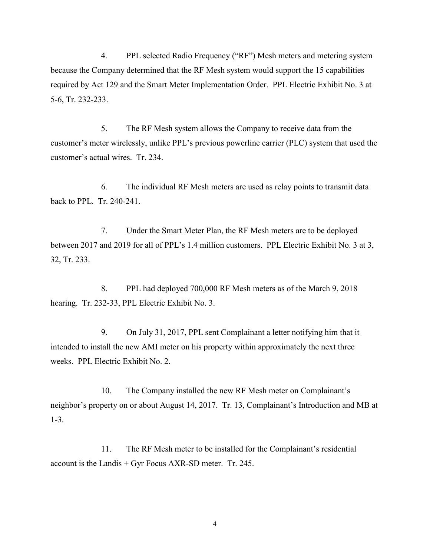4. PPL selected Radio Frequency ("RF") Mesh meters and metering system because the Company determined that the RF Mesh system would support the 15 capabilities required by Act 129 and the Smart Meter Implementation Order. PPL Electric Exhibit No. 3 at 5-6, Tr. 232-233.

5. The RF Mesh system allows the Company to receive data from the customer's meter wirelessly, unlike PPL's previous powerline carrier (PLC) system that used the customer's actual wires. Tr. 234.

6. The individual RF Mesh meters are used as relay points to transmit data back to PPL. Tr. 240-241.

7. Under the Smart Meter Plan, the RF Mesh meters are to be deployed between 2017 and 2019 for all of PPL's 1.4 million customers. PPL Electric Exhibit No. 3 at 3, 32, Tr. 233.

8. PPL had deployed 700,000 RF Mesh meters as of the March 9, 2018 hearing. Tr. 232-33, PPL Electric Exhibit No. 3.

9. On July 31, 2017, PPL sent Complainant a letter notifying him that it intended to install the new AMI meter on his property within approximately the next three weeks. PPL Electric Exhibit No. 2.

10. The Company installed the new RF Mesh meter on Complainant's neighbor's property on or about August 14, 2017. Tr. 13, Complainant's Introduction and MB at 1-3.

11. The RF Mesh meter to be installed for the Complainant's residential account is the Landis + Gyr Focus AXR-SD meter. Tr. 245.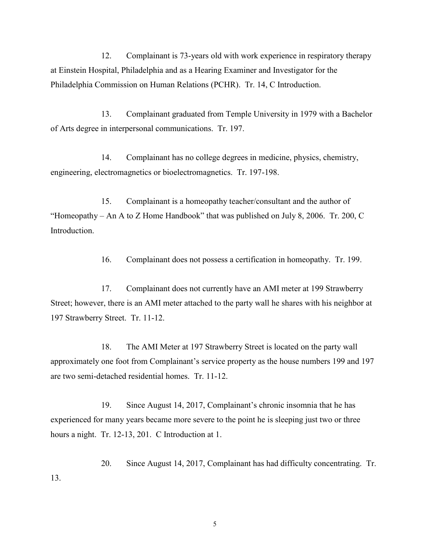12. Complainant is 73-years old with work experience in respiratory therapy at Einstein Hospital, Philadelphia and as a Hearing Examiner and Investigator for the Philadelphia Commission on Human Relations (PCHR). Tr. 14, C Introduction.

13. Complainant graduated from Temple University in 1979 with a Bachelor of Arts degree in interpersonal communications. Tr. 197.

14. Complainant has no college degrees in medicine, physics, chemistry, engineering, electromagnetics or bioelectromagnetics. Tr. 197-198.

15. Complainant is a homeopathy teacher/consultant and the author of "Homeopathy – An A to Z Home Handbook" that was published on July 8, 2006. Tr. 200, C Introduction.

16. Complainant does not possess a certification in homeopathy. Tr. 199.

17. Complainant does not currently have an AMI meter at 199 Strawberry Street; however, there is an AMI meter attached to the party wall he shares with his neighbor at 197 Strawberry Street. Tr. 11-12.

18. The AMI Meter at 197 Strawberry Street is located on the party wall approximately one foot from Complainant's service property as the house numbers 199 and 197 are two semi-detached residential homes. Tr. 11-12.

19. Since August 14, 2017, Complainant's chronic insomnia that he has experienced for many years became more severe to the point he is sleeping just two or three hours a night. Tr. 12-13, 201. C Introduction at 1.

20. Since August 14, 2017, Complainant has had difficulty concentrating. Tr. 13.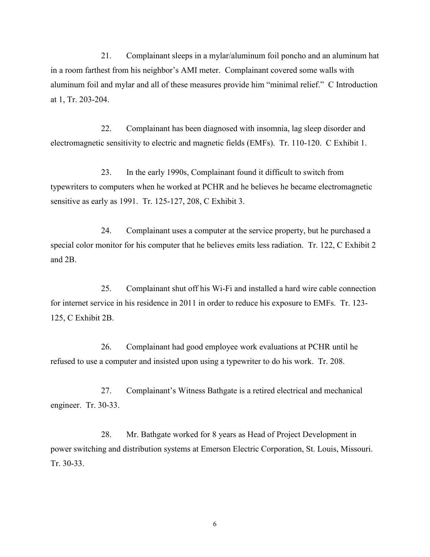21. Complainant sleeps in a mylar/aluminum foil poncho and an aluminum hat in a room farthest from his neighbor's AMI meter. Complainant covered some walls with aluminum foil and mylar and all of these measures provide him "minimal relief." C Introduction at 1, Tr. 203-204.

22. Complainant has been diagnosed with insomnia, lag sleep disorder and electromagnetic sensitivity to electric and magnetic fields (EMFs). Tr. 110-120. C Exhibit 1.

23. In the early 1990s, Complainant found it difficult to switch from typewriters to computers when he worked at PCHR and he believes he became electromagnetic sensitive as early as 1991. Tr. 125-127, 208, C Exhibit 3.

24. Complainant uses a computer at the service property, but he purchased a special color monitor for his computer that he believes emits less radiation. Tr. 122, C Exhibit 2 and 2B.

25. Complainant shut off his Wi-Fi and installed a hard wire cable connection for internet service in his residence in 2011 in order to reduce his exposure to EMFs. Tr. 123- 125, C Exhibit 2B.

26. Complainant had good employee work evaluations at PCHR until he refused to use a computer and insisted upon using a typewriter to do his work. Tr. 208.

27. Complainant's Witness Bathgate is a retired electrical and mechanical engineer. Tr. 30-33.

28. Mr. Bathgate worked for 8 years as Head of Project Development in power switching and distribution systems at Emerson Electric Corporation, St. Louis, Missouri. Tr. 30-33.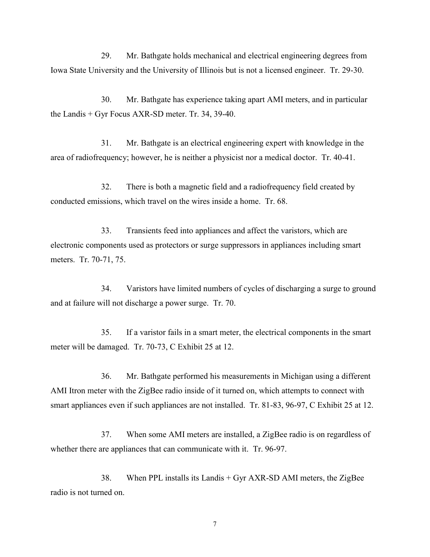29. Mr. Bathgate holds mechanical and electrical engineering degrees from Iowa State University and the University of Illinois but is not a licensed engineer. Tr. 29-30.

30. Mr. Bathgate has experience taking apart AMI meters, and in particular the Landis + Gyr Focus AXR-SD meter. Tr. 34, 39-40.

31. Mr. Bathgate is an electrical engineering expert with knowledge in the area of radiofrequency; however, he is neither a physicist nor a medical doctor. Tr. 40-41.

32. There is both a magnetic field and a radiofrequency field created by conducted emissions, which travel on the wires inside a home. Tr. 68.

33. Transients feed into appliances and affect the varistors, which are electronic components used as protectors or surge suppressors in appliances including smart meters. Tr. 70-71, 75.

34. Varistors have limited numbers of cycles of discharging a surge to ground and at failure will not discharge a power surge. Tr. 70.

35. If a varistor fails in a smart meter, the electrical components in the smart meter will be damaged. Tr. 70-73, C Exhibit 25 at 12.

36. Mr. Bathgate performed his measurements in Michigan using a different AMI Itron meter with the ZigBee radio inside of it turned on, which attempts to connect with smart appliances even if such appliances are not installed. Tr. 81-83, 96-97, C Exhibit 25 at 12.

37. When some AMI meters are installed, a ZigBee radio is on regardless of whether there are appliances that can communicate with it. Tr. 96-97.

38. When PPL installs its Landis + Gyr AXR-SD AMI meters, the ZigBee radio is not turned on.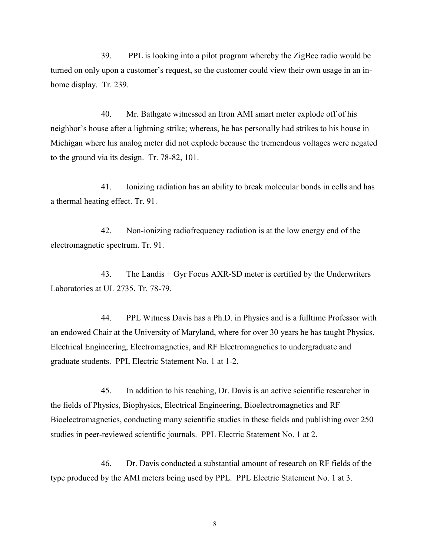39. PPL is looking into a pilot program whereby the ZigBee radio would be turned on only upon a customer's request, so the customer could view their own usage in an inhome display. Tr. 239.

40. Mr. Bathgate witnessed an Itron AMI smart meter explode off of his neighbor's house after a lightning strike; whereas, he has personally had strikes to his house in Michigan where his analog meter did not explode because the tremendous voltages were negated to the ground via its design. Tr. 78-82, 101.

41. Ionizing radiation has an ability to break molecular bonds in cells and has a thermal heating effect. Tr. 91.

42. Non-ionizing radiofrequency radiation is at the low energy end of the electromagnetic spectrum. Tr. 91.

43. The Landis  $+$  Gyr Focus AXR-SD meter is certified by the Underwriters Laboratories at UL 2735. Tr. 78-79.

44. PPL Witness Davis has a Ph.D. in Physics and is a fulltime Professor with an endowed Chair at the University of Maryland, where for over 30 years he has taught Physics, Electrical Engineering, Electromagnetics, and RF Electromagnetics to undergraduate and graduate students. PPL Electric Statement No. 1 at 1-2.

45. In addition to his teaching, Dr. Davis is an active scientific researcher in the fields of Physics, Biophysics, Electrical Engineering, Bioelectromagnetics and RF Bioelectromagnetics, conducting many scientific studies in these fields and publishing over 250 studies in peer-reviewed scientific journals. PPL Electric Statement No. 1 at 2.

46. Dr. Davis conducted a substantial amount of research on RF fields of the type produced by the AMI meters being used by PPL. PPL Electric Statement No. 1 at 3.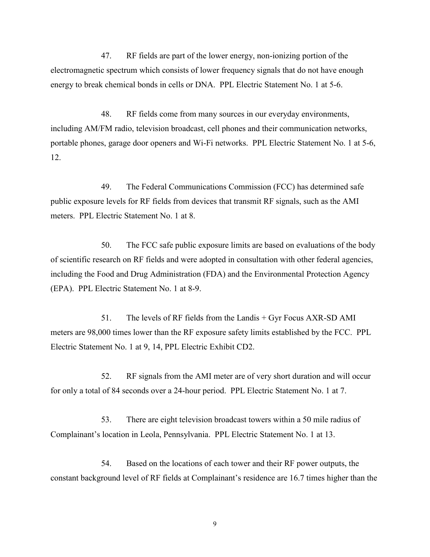47. RF fields are part of the lower energy, non-ionizing portion of the electromagnetic spectrum which consists of lower frequency signals that do not have enough energy to break chemical bonds in cells or DNA. PPL Electric Statement No. 1 at 5-6.

48. RF fields come from many sources in our everyday environments, including AM/FM radio, television broadcast, cell phones and their communication networks, portable phones, garage door openers and Wi-Fi networks. PPL Electric Statement No. 1 at 5-6, 12.

49. The Federal Communications Commission (FCC) has determined safe public exposure levels for RF fields from devices that transmit RF signals, such as the AMI meters. PPL Electric Statement No. 1 at 8.

50. The FCC safe public exposure limits are based on evaluations of the body of scientific research on RF fields and were adopted in consultation with other federal agencies, including the Food and Drug Administration (FDA) and the Environmental Protection Agency (EPA). PPL Electric Statement No. 1 at 8-9.

51. The levels of RF fields from the Landis + Gyr Focus AXR-SD AMI meters are 98,000 times lower than the RF exposure safety limits established by the FCC. PPL Electric Statement No. 1 at 9, 14, PPL Electric Exhibit CD2.

52. RF signals from the AMI meter are of very short duration and will occur for only a total of 84 seconds over a 24-hour period. PPL Electric Statement No. 1 at 7.

53. There are eight television broadcast towers within a 50 mile radius of Complainant's location in Leola, Pennsylvania. PPL Electric Statement No. 1 at 13.

54. Based on the locations of each tower and their RF power outputs, the constant background level of RF fields at Complainant's residence are 16.7 times higher than the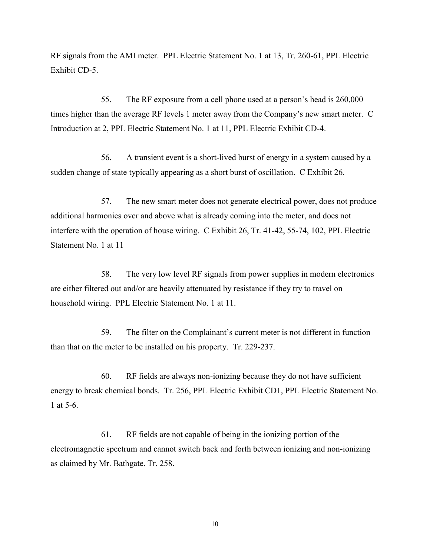RF signals from the AMI meter. PPL Electric Statement No. 1 at 13, Tr. 260-61, PPL Electric Exhibit CD-5.

55. The RF exposure from a cell phone used at a person's head is 260,000 times higher than the average RF levels 1 meter away from the Company's new smart meter. C Introduction at 2, PPL Electric Statement No. 1 at 11, PPL Electric Exhibit CD-4.

56. A transient event is a short-lived burst of energy in a system caused by a sudden change of state typically appearing as a short burst of oscillation. C Exhibit 26.

57. The new smart meter does not generate electrical power, does not produce additional harmonics over and above what is already coming into the meter, and does not interfere with the operation of house wiring. C Exhibit 26, Tr. 41-42, 55-74, 102, PPL Electric Statement No. 1 at 11

58. The very low level RF signals from power supplies in modern electronics are either filtered out and/or are heavily attenuated by resistance if they try to travel on household wiring. PPL Electric Statement No. 1 at 11.

59. The filter on the Complainant's current meter is not different in function than that on the meter to be installed on his property. Tr. 229-237.

60. RF fields are always non-ionizing because they do not have sufficient energy to break chemical bonds. Tr. 256, PPL Electric Exhibit CD1, PPL Electric Statement No. 1 at 5-6.

61. RF fields are not capable of being in the ionizing portion of the electromagnetic spectrum and cannot switch back and forth between ionizing and non-ionizing as claimed by Mr. Bathgate. Tr. 258.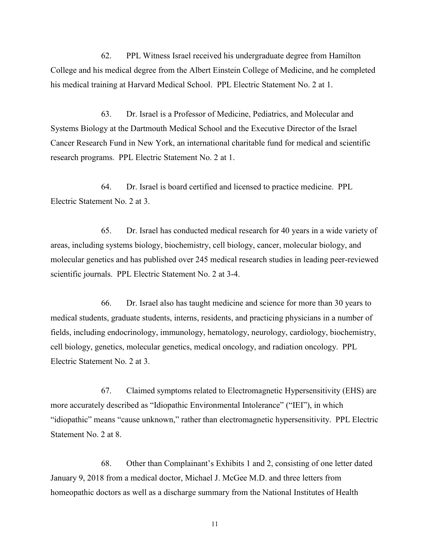62. PPL Witness Israel received his undergraduate degree from Hamilton College and his medical degree from the Albert Einstein College of Medicine, and he completed his medical training at Harvard Medical School. PPL Electric Statement No. 2 at 1.

63. Dr. Israel is a Professor of Medicine, Pediatrics, and Molecular and Systems Biology at the Dartmouth Medical School and the Executive Director of the Israel Cancer Research Fund in New York, an international charitable fund for medical and scientific research programs. PPL Electric Statement No. 2 at 1.

64. Dr. Israel is board certified and licensed to practice medicine. PPL Electric Statement No. 2 at 3.

65. Dr. Israel has conducted medical research for 40 years in a wide variety of areas, including systems biology, biochemistry, cell biology, cancer, molecular biology, and molecular genetics and has published over 245 medical research studies in leading peer-reviewed scientific journals. PPL Electric Statement No. 2 at 3-4.

66. Dr. Israel also has taught medicine and science for more than 30 years to medical students, graduate students, interns, residents, and practicing physicians in a number of fields, including endocrinology, immunology, hematology, neurology, cardiology, biochemistry, cell biology, genetics, molecular genetics, medical oncology, and radiation oncology. PPL Electric Statement No. 2 at 3.

67. Claimed symptoms related to Electromagnetic Hypersensitivity (EHS) are more accurately described as "Idiopathic Environmental Intolerance" ("IEI"), in which "idiopathic" means "cause unknown," rather than electromagnetic hypersensitivity. PPL Electric Statement No. 2 at 8.

68. Other than Complainant's Exhibits 1 and 2, consisting of one letter dated January 9, 2018 from a medical doctor, Michael J. McGee M.D. and three letters from homeopathic doctors as well as a discharge summary from the National Institutes of Health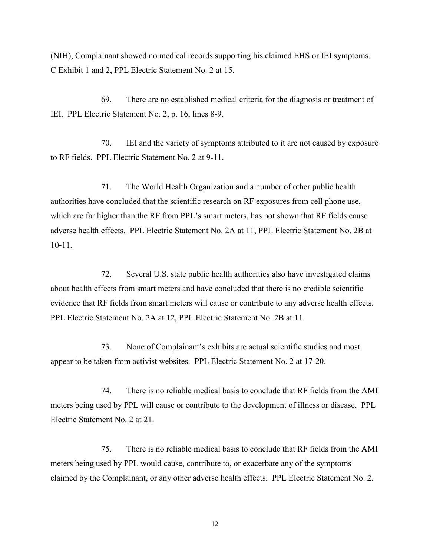(NIH), Complainant showed no medical records supporting his claimed EHS or IEI symptoms. C Exhibit 1 and 2, PPL Electric Statement No. 2 at 15.

69. There are no established medical criteria for the diagnosis or treatment of IEI. PPL Electric Statement No. 2, p. 16, lines 8-9.

70. IEI and the variety of symptoms attributed to it are not caused by exposure to RF fields. PPL Electric Statement No. 2 at 9-11.

71. The World Health Organization and a number of other public health authorities have concluded that the scientific research on RF exposures from cell phone use, which are far higher than the RF from PPL's smart meters, has not shown that RF fields cause adverse health effects. PPL Electric Statement No. 2A at 11, PPL Electric Statement No. 2B at 10-11.

72. Several U.S. state public health authorities also have investigated claims about health effects from smart meters and have concluded that there is no credible scientific evidence that RF fields from smart meters will cause or contribute to any adverse health effects. PPL Electric Statement No. 2A at 12, PPL Electric Statement No. 2B at 11.

73. None of Complainant's exhibits are actual scientific studies and most appear to be taken from activist websites. PPL Electric Statement No. 2 at 17-20.

74. There is no reliable medical basis to conclude that RF fields from the AMI meters being used by PPL will cause or contribute to the development of illness or disease. PPL Electric Statement No. 2 at 21.

75. There is no reliable medical basis to conclude that RF fields from the AMI meters being used by PPL would cause, contribute to, or exacerbate any of the symptoms claimed by the Complainant, or any other adverse health effects. PPL Electric Statement No. 2.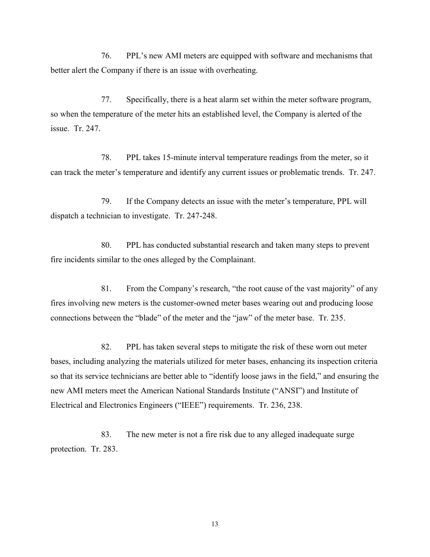76. PPL's new AMI meters are equipped with software and mechanisms that better alert the Company if there is an issue with overheating.

77. Specifically, there is a heat alarm set within the meter software program, so when the temperature of the meter hits an established level, the Company is alerted of the issue. Tr. 247.

78. PPL takes 15-minute interval temperature readings from the meter, so it can track the meter's temperature and identify any current issues or problematic trends. Tr. 247.

79. If the Company detects an issue with the meter's temperature, PPL will dispatch a technician to investigate. Tr. 247-248.

80. PPL has conducted substantial research and taken many steps to prevent fire incidents similar to the ones alleged by the Complainant.

81. From the Company's research, "the root cause of the vast majority" of any fires involving new meters is the customer-owned meter bases wearing out and producing loose connections between the "blade" of the meter and the "jaw" of the meter base. Tr. 235.

82. PPL has taken several steps to mitigate the risk of these worn out meter bases, including analyzing the materials utilized for meter bases, enhancing its inspection criteria so that its service technicians are better able to "identify loose jaws in the field," and ensuring the new AMI meters meet the American National Standards Institute ("ANSI") and Institute of Electrical and Electronics Engineers ("IEEE") requirements. Tr. 236, 238.

83. The new meter is not a fire risk due to any alleged inadequate surge protection. Tr. 283.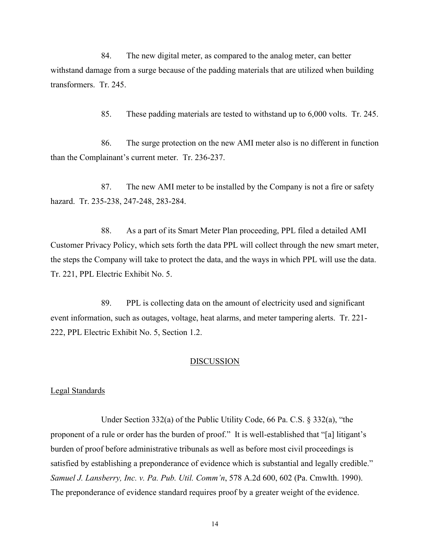84. The new digital meter, as compared to the analog meter, can better withstand damage from a surge because of the padding materials that are utilized when building transformers. Tr. 245.

85. These padding materials are tested to withstand up to 6,000 volts. Tr. 245.

86. The surge protection on the new AMI meter also is no different in function than the Complainant's current meter. Tr. 236-237.

87. The new AMI meter to be installed by the Company is not a fire or safety hazard. Tr. 235-238, 247-248, 283-284.

88. As a part of its Smart Meter Plan proceeding, PPL filed a detailed AMI Customer Privacy Policy, which sets forth the data PPL will collect through the new smart meter, the steps the Company will take to protect the data, and the ways in which PPL will use the data. Tr. 221, PPL Electric Exhibit No. 5.

89. PPL is collecting data on the amount of electricity used and significant event information, such as outages, voltage, heat alarms, and meter tampering alerts. Tr. 221- 222, PPL Electric Exhibit No. 5, Section 1.2.

### DISCUSSION

# Legal Standards

Under Section 332(a) of the Public Utility Code, 66 Pa. C.S. § 332(a), "the proponent of a rule or order has the burden of proof." It is well-established that "[a] litigant's burden of proof before administrative tribunals as well as before most civil proceedings is satisfied by establishing a preponderance of evidence which is substantial and legally credible." *Samuel J. Lansberry, Inc. v. Pa. Pub. Util. Comm'n*, 578 A.2d 600, 602 (Pa. Cmwlth. 1990). The preponderance of evidence standard requires proof by a greater weight of the evidence.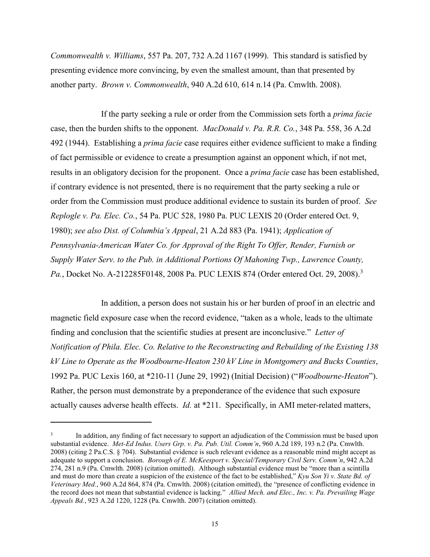*Commonwealth v. Williams*, 557 Pa. 207, 732 A.2d 1167 (1999). This standard is satisfied by presenting evidence more convincing, by even the smallest amount, than that presented by another party. *Brown v. Commonwealth*, 940 A.2d 610, 614 n.14 (Pa. Cmwlth. 2008).

If the party seeking a rule or order from the Commission sets forth a *prima facie* case, then the burden shifts to the opponent. *MacDonald v. Pa. R.R. Co.*, 348 Pa. 558, 36 A.2d 492 (1944). Establishing a *prima facie* case requires either evidence sufficient to make a finding of fact permissible or evidence to create a presumption against an opponent which, if not met, results in an obligatory decision for the proponent. Once a *prima facie* case has been established, if contrary evidence is not presented, there is no requirement that the party seeking a rule or order from the Commission must produce additional evidence to sustain its burden of proof. *See Replogle v. Pa. Elec. Co.*, 54 Pa. PUC 528, 1980 Pa. PUC LEXIS 20 (Order entered Oct. 9, 1980); *see also Dist. of Columbia's Appeal*, 21 A.2d 883 (Pa. 1941); *Application of Pennsylvania-American Water Co. for Approval of the Right To Offer, Render, Furnish or Supply Water Serv. to the Pub. in Additional Portions Of Mahoning Twp., Lawrence County,*  Pa., Docket No. A-212285F0148, 2008 Pa. PUC LEXIS 874 (Order entered Oct. 29, 2008).<sup>3</sup>

In addition, a person does not sustain his or her burden of proof in an electric and magnetic field exposure case when the record evidence, "taken as a whole, leads to the ultimate finding and conclusion that the scientific studies at present are inconclusive." *Letter of Notification of Phila. Elec. Co. Relative to the Reconstructing and Rebuilding of the Existing 138 kV Line to Operate as the Woodbourne-Heaton 230 kV Line in Montgomery and Bucks Counties*, 1992 Pa. PUC Lexis 160, at \*210-11 (June 29, 1992) (Initial Decision) ("*Woodbourne-Heaton*"). Rather, the person must demonstrate by a preponderance of the evidence that such exposure actually causes adverse health effects. *Id.* at \*211. Specifically, in AMI meter-related matters,

 $\overline{a}$ 

<sup>3</sup> In addition, any finding of fact necessary to support an adjudication of the Commission must be based upon substantial evidence. *Met-Ed Indus. Users Grp. v. Pa. Pub. Util. Comm'n*, 960 A.2d 189, 193 n.2 (Pa. Cmwlth. 2008) (citing 2 Pa.C.S. § 704). Substantial evidence is such relevant evidence as a reasonable mind might accept as adequate to support a conclusion. *Borough of E. McKeesport v. Special/Temporary Civil Serv. Comm'n*, 942 A.2d 274, 281 n.9 (Pa. Cmwlth. 2008) (citation omitted). Although substantial evidence must be "more than a scintilla and must do more than create a suspicion of the existence of the fact to be established," *Kyu Son Yi v. State Bd. of Veterinary Med.*, 960 A.2d 864, 874 (Pa. Cmwlth. 2008) (citation omitted), the "presence of conflicting evidence in the record does not mean that substantial evidence is lacking." *Allied Mech. and Elec., Inc. v. Pa. Prevailing Wage Appeals Bd.*, 923 A.2d 1220, 1228 (Pa. Cmwlth. 2007) (citation omitted).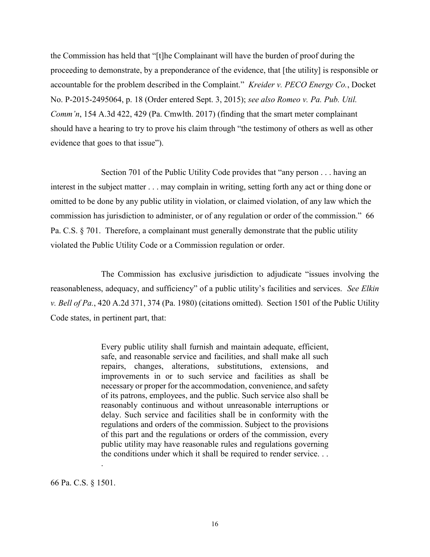the Commission has held that "[t]he Complainant will have the burden of proof during the proceeding to demonstrate, by a preponderance of the evidence, that [the utility] is responsible or accountable for the problem described in the Complaint." *Kreider v. PECO Energy Co.*, Docket No. P-2015-2495064, p. 18 (Order entered Sept. 3, 2015); *see also Romeo v. Pa. Pub. Util. Comm'n*, 154 A.3d 422, 429 (Pa. Cmwlth. 2017) (finding that the smart meter complainant should have a hearing to try to prove his claim through "the testimony of others as well as other evidence that goes to that issue").

Section 701 of the Public Utility Code provides that "any person . . . having an interest in the subject matter . . . may complain in writing, setting forth any act or thing done or omitted to be done by any public utility in violation, or claimed violation, of any law which the commission has jurisdiction to administer, or of any regulation or order of the commission." 66 Pa. C.S. § 701. Therefore, a complainant must generally demonstrate that the public utility violated the Public Utility Code or a Commission regulation or order.

The Commission has exclusive jurisdiction to adjudicate "issues involving the reasonableness, adequacy, and sufficiency" of a public utility's facilities and services. *See Elkin v. Bell of Pa.*, 420 A.2d 371, 374 (Pa. 1980) (citations omitted). Section 1501 of the Public Utility Code states, in pertinent part, that:

> Every public utility shall furnish and maintain adequate, efficient, safe, and reasonable service and facilities, and shall make all such repairs, changes, alterations, substitutions, extensions, and improvements in or to such service and facilities as shall be necessary or proper for the accommodation, convenience, and safety of its patrons, employees, and the public. Such service also shall be reasonably continuous and without unreasonable interruptions or delay. Such service and facilities shall be in conformity with the regulations and orders of the commission. Subject to the provisions of this part and the regulations or orders of the commission, every public utility may have reasonable rules and regulations governing the conditions under which it shall be required to render service. . .

66 Pa. C.S. § 1501.

.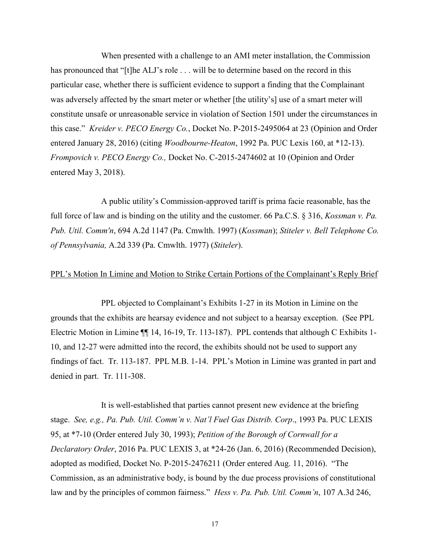When presented with a challenge to an AMI meter installation, the Commission has pronounced that "[t]he ALJ's role . . . will be to determine based on the record in this particular case, whether there is sufficient evidence to support a finding that the Complainant was adversely affected by the smart meter or whether [the utility's] use of a smart meter will constitute unsafe or unreasonable service in violation of Section 1501 under the circumstances in this case." *Kreider v. PECO Energy Co.*, Docket No. P-2015-2495064 at 23 (Opinion and Order entered January 28, 2016) (citing *Woodbourne-Heaton*, 1992 Pa. PUC Lexis 160, at \*12-13). *Frompovich v. PECO Energy Co.,* Docket No. C-2015-2474602 at 10 (Opinion and Order entered May 3, 2018).

A public utility's Commission-approved tariff is prima facie reasonable, has the full force of law and is binding on the utility and the customer. 66 Pa.C.S. § 316, *Kossman v. Pa. Pub. Util. Comm'n*, 694 A.2d 1147 (Pa. Cmwlth. 1997) (*Kossman*); *Stiteler v. Bell Telephone Co. of Pennsylvania,* A.2d 339 (Pa. Cmwlth. 1977) (*Stiteler*).

## PPL's Motion In Limine and Motion to Strike Certain Portions of the Complainant's Reply Brief

PPL objected to Complainant's Exhibits 1-27 in its Motion in Limine on the grounds that the exhibits are hearsay evidence and not subject to a hearsay exception. (See PPL Electric Motion in Limine ¶¶ 14, 16-19, Tr. 113-187). PPL contends that although C Exhibits 1- 10, and 12-27 were admitted into the record, the exhibits should not be used to support any findings of fact. Tr. 113-187. PPL M.B. 1-14. PPL's Motion in Limine was granted in part and denied in part. Tr. 111-308.

It is well-established that parties cannot present new evidence at the briefing stage. *See, e.g., Pa. Pub. Util. Comm'n v. Nat'l Fuel Gas Distrib. Corp*., 1993 Pa. PUC LEXIS 95, at \*7-10 (Order entered July 30, 1993); *Petition of the Borough of Cornwall for a Declaratory Order*, 2016 Pa. PUC LEXIS 3, at \*24-26 (Jan. 6, 2016) (Recommended Decision), adopted as modified, Docket No. P-2015-2476211 (Order entered Aug. 11, 2016). "The Commission, as an administrative body, is bound by the due process provisions of constitutional law and by the principles of common fairness." *Hess v. Pa. Pub. Util. Comm'n*, 107 A.3d 246,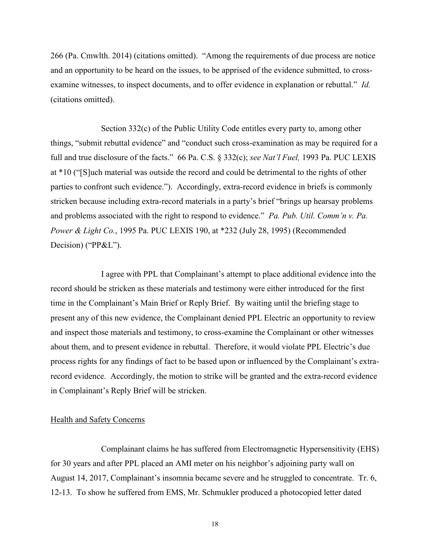266 (Pa. Cmwlth. 2014) (citations omitted). "Among the requirements of due process are notice and an opportunity to be heard on the issues, to be apprised of the evidence submitted, to crossexamine witnesses, to inspect documents, and to offer evidence in explanation or rebuttal." *Id.* (citations omitted).

Section 332(c) of the Public Utility Code entitles every party to, among other things, "submit rebuttal evidence" and "conduct such cross-examination as may be required for a full and true disclosure of the facts." 66 Pa. C.S. § 332(c); *see Nat'l Fuel,* 1993 Pa. PUC LEXIS at \*10 ("[S]uch material was outside the record and could be detrimental to the rights of other parties to confront such evidence."). Accordingly, extra-record evidence in briefs is commonly stricken because including extra-record materials in a party's brief "brings up hearsay problems and problems associated with the right to respond to evidence." *Pa. Pub. Util. Comm'n v. Pa. Power & Light Co.*, 1995 Pa. PUC LEXIS 190, at \*232 (July 28, 1995) (Recommended Decision) ("PP&L").

I agree with PPL that Complainant's attempt to place additional evidence into the record should be stricken as these materials and testimony were either introduced for the first time in the Complainant's Main Brief or Reply Brief. By waiting until the briefing stage to present any of this new evidence, the Complainant denied PPL Electric an opportunity to review and inspect those materials and testimony, to cross-examine the Complainant or other witnesses about them, and to present evidence in rebuttal. Therefore, it would violate PPL Electric's due process rights for any findings of fact to be based upon or influenced by the Complainant's extrarecord evidence. Accordingly, the motion to strike will be granted and the extra-record evidence in Complainant's Reply Brief will be stricken.

### Health and Safety Concerns

Complainant claims he has suffered from Electromagnetic Hypersensitivity (EHS) for 30 years and after PPL placed an AMI meter on his neighbor's adjoining party wall on August 14, 2017, Complainant's insomnia became severe and he struggled to concentrate. Tr. 6, 12-13. To show he suffered from EMS, Mr. Schmukler produced a photocopied letter dated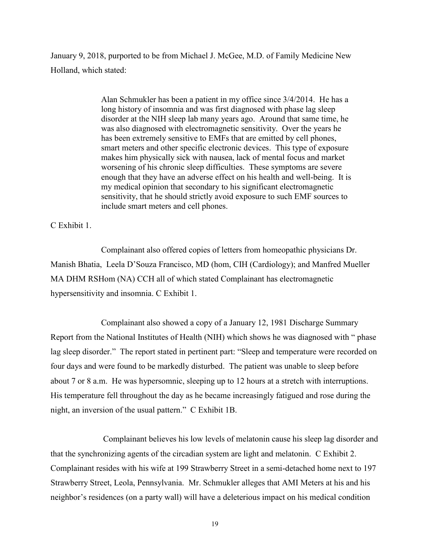January 9, 2018, purported to be from Michael J. McGee, M.D. of Family Medicine New Holland, which stated:

> Alan Schmukler has been a patient in my office since 3/4/2014. He has a long history of insomnia and was first diagnosed with phase lag sleep disorder at the NIH sleep lab many years ago. Around that same time, he was also diagnosed with electromagnetic sensitivity. Over the years he has been extremely sensitive to EMFs that are emitted by cell phones, smart meters and other specific electronic devices. This type of exposure makes him physically sick with nausea, lack of mental focus and market worsening of his chronic sleep difficulties. These symptoms are severe enough that they have an adverse effect on his health and well-being. It is my medical opinion that secondary to his significant electromagnetic sensitivity, that he should strictly avoid exposure to such EMF sources to include smart meters and cell phones.

C Exhibit 1.

Complainant also offered copies of letters from homeopathic physicians Dr. Manish Bhatia, Leela D'Souza Francisco, MD (hom, CIH (Cardiology); and Manfred Mueller MA DHM RSHom (NA) CCH all of which stated Complainant has electromagnetic hypersensitivity and insomnia. C Exhibit 1.

Complainant also showed a copy of a January 12, 1981 Discharge Summary Report from the National Institutes of Health (NIH) which shows he was diagnosed with " phase lag sleep disorder." The report stated in pertinent part: "Sleep and temperature were recorded on four days and were found to be markedly disturbed. The patient was unable to sleep before about 7 or 8 a.m. He was hypersomnic, sleeping up to 12 hours at a stretch with interruptions. His temperature fell throughout the day as he became increasingly fatigued and rose during the night, an inversion of the usual pattern." C Exhibit 1B.

Complainant believes his low levels of melatonin cause his sleep lag disorder and that the synchronizing agents of the circadian system are light and melatonin. C Exhibit 2. Complainant resides with his wife at 199 Strawberry Street in a semi-detached home next to 197 Strawberry Street, Leola, Pennsylvania. Mr. Schmukler alleges that AMI Meters at his and his neighbor's residences (on a party wall) will have a deleterious impact on his medical condition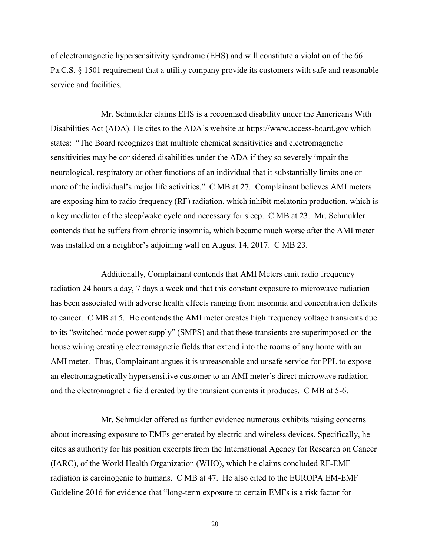of electromagnetic hypersensitivity syndrome (EHS) and will constitute a violation of the 66 Pa.C.S. § 1501 requirement that a utility company provide its customers with safe and reasonable service and facilities.

Mr. Schmukler claims EHS is a recognized disability under the Americans With Disabilities Act (ADA). He cites to the ADA's website at https://www.access-board.gov which states: "The Board recognizes that multiple chemical sensitivities and electromagnetic sensitivities may be considered disabilities under the ADA if they so severely impair the neurological, respiratory or other functions of an individual that it substantially limits one or more of the individual's major life activities." C MB at 27. Complainant believes AMI meters are exposing him to radio frequency (RF) radiation, which inhibit melatonin production, which is a key mediator of the sleep/wake cycle and necessary for sleep. C MB at 23. Mr. Schmukler contends that he suffers from chronic insomnia, which became much worse after the AMI meter was installed on a neighbor's adjoining wall on August 14, 2017. C MB 23.

Additionally, Complainant contends that AMI Meters emit radio frequency radiation 24 hours a day, 7 days a week and that this constant exposure to microwave radiation has been associated with adverse health effects ranging from insomnia and concentration deficits to cancer. C MB at 5. He contends the AMI meter creates high frequency voltage transients due to its "switched mode power supply" (SMPS) and that these transients are superimposed on the house wiring creating electromagnetic fields that extend into the rooms of any home with an AMI meter. Thus, Complainant argues it is unreasonable and unsafe service for PPL to expose an electromagnetically hypersensitive customer to an AMI meter's direct microwave radiation and the electromagnetic field created by the transient currents it produces. C MB at 5-6.

Mr. Schmukler offered as further evidence numerous exhibits raising concerns about increasing exposure to EMFs generated by electric and wireless devices. Specifically, he cites as authority for his position excerpts from the International Agency for Research on Cancer (IARC), of the World Health Organization (WHO), which he claims concluded RF-EMF radiation is carcinogenic to humans. C MB at 47. He also cited to the EUROPA EM-EMF Guideline 2016 for evidence that "long-term exposure to certain EMFs is a risk factor for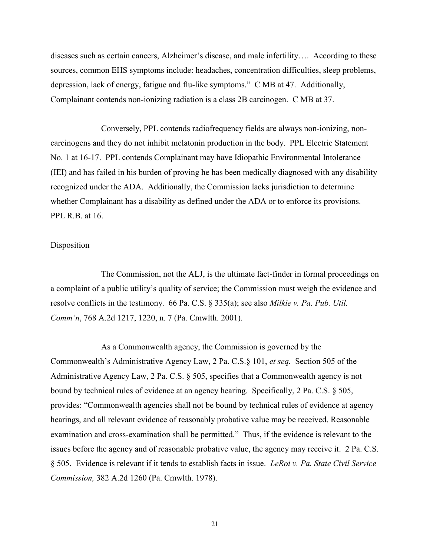diseases such as certain cancers, Alzheimer's disease, and male infertility…. According to these sources, common EHS symptoms include: headaches, concentration difficulties, sleep problems, depression, lack of energy, fatigue and flu-like symptoms." C MB at 47. Additionally, Complainant contends non-ionizing radiation is a class 2B carcinogen. C MB at 37.

Conversely, PPL contends radiofrequency fields are always non-ionizing, noncarcinogens and they do not inhibit melatonin production in the body. PPL Electric Statement No. 1 at 16-17. PPL contends Complainant may have Idiopathic Environmental Intolerance (IEI) and has failed in his burden of proving he has been medically diagnosed with any disability recognized under the ADA. Additionally, the Commission lacks jurisdiction to determine whether Complainant has a disability as defined under the ADA or to enforce its provisions. PPL R.B. at 16.

## Disposition

The Commission, not the ALJ, is the ultimate fact-finder in formal proceedings on a complaint of a public utility's quality of service; the Commission must weigh the evidence and resolve conflicts in the testimony. 66 Pa. C.S. § 335(a); see also *Milkie v. Pa. Pub. Util. Comm'n*, 768 A.2d 1217, 1220, n. 7 (Pa. Cmwlth. 2001).

As a Commonwealth agency, the Commission is governed by the Commonwealth's Administrative Agency Law, 2 Pa. C.S.§ 101, *et seq.* Section 505 of the Administrative Agency Law, 2 Pa. C.S. § 505, specifies that a Commonwealth agency is not bound by technical rules of evidence at an agency hearing. Specifically, 2 Pa. C.S. § 505, provides: "Commonwealth agencies shall not be bound by technical rules of evidence at agency hearings, and all relevant evidence of reasonably probative value may be received. Reasonable examination and cross-examination shall be permitted." Thus, if the evidence is relevant to the issues before the agency and of reasonable probative value, the agency may receive it. 2 Pa. C.S. § 505. Evidence is relevant if it tends to establish facts in issue. *LeRoi v. Pa. State Civil Service Commission,* 382 A.2d 1260 (Pa. Cmwlth. 1978).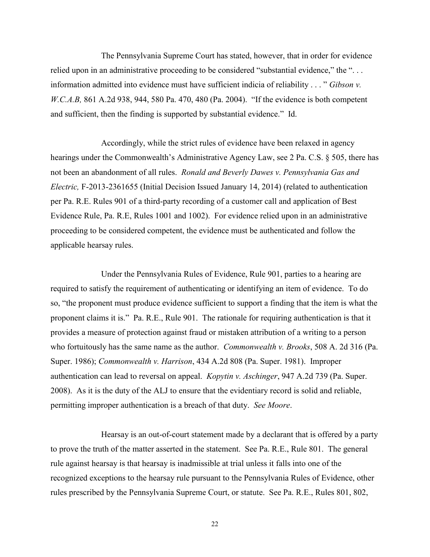The Pennsylvania Supreme Court has stated, however, that in order for evidence relied upon in an administrative proceeding to be considered "substantial evidence," the "... information admitted into evidence must have sufficient indicia of reliability . . . " *Gibson v. W.C.A.B,* 861 A.2d 938, 944, 580 Pa. 470, 480 (Pa. 2004). "If the evidence is both competent and sufficient, then the finding is supported by substantial evidence." Id.

Accordingly, while the strict rules of evidence have been relaxed in agency hearings under the Commonwealth's Administrative Agency Law, see 2 Pa. C.S. § 505, there has not been an abandonment of all rules. *Ronald and Beverly Dawes v. Pennsylvania Gas and Electric,* F-2013-2361655 (Initial Decision Issued January 14, 2014) (related to authentication per Pa. R.E. Rules 901 of a third-party recording of a customer call and application of Best Evidence Rule, Pa. R.E, Rules 1001 and 1002). For evidence relied upon in an administrative proceeding to be considered competent, the evidence must be authenticated and follow the applicable hearsay rules.

Under the Pennsylvania Rules of Evidence, Rule 901, parties to a hearing are required to satisfy the requirement of authenticating or identifying an item of evidence. To do so, "the proponent must produce evidence sufficient to support a finding that the item is what the proponent claims it is." Pa. R.E., Rule 901. The rationale for requiring authentication is that it provides a measure of protection against fraud or mistaken attribution of a writing to a person who fortuitously has the same name as the author. *Commonwealth v. Brooks*, 508 A. 2d 316 (Pa. Super. 1986); *Commonwealth v. Harrison*, 434 A.2d 808 (Pa. Super. 1981). Improper authentication can lead to reversal on appeal. *Kopytin v. Aschinger*, 947 A.2d 739 (Pa. Super. 2008). As it is the duty of the ALJ to ensure that the evidentiary record is solid and reliable, permitting improper authentication is a breach of that duty. *See Moore*.

Hearsay is an out-of-court statement made by a declarant that is offered by a party to prove the truth of the matter asserted in the statement. See Pa. R.E., Rule 801. The general rule against hearsay is that hearsay is inadmissible at trial unless it falls into one of the recognized exceptions to the hearsay rule pursuant to the Pennsylvania Rules of Evidence, other rules prescribed by the Pennsylvania Supreme Court, or statute. See Pa. R.E., Rules 801, 802,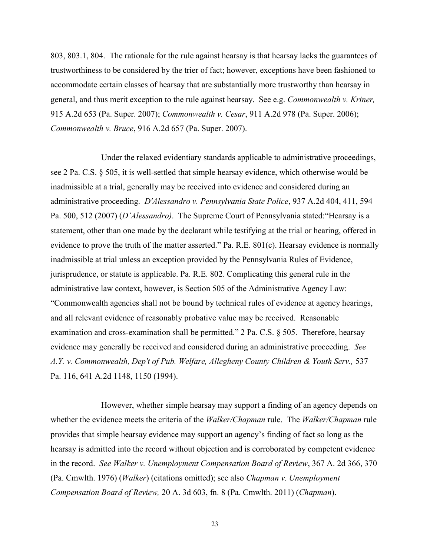803, 803.1, 804. The rationale for the rule against hearsay is that hearsay lacks the guarantees of trustworthiness to be considered by the trier of fact; however, exceptions have been fashioned to accommodate certain classes of hearsay that are substantially more trustworthy than hearsay in general, and thus merit exception to the rule against hearsay. See e.g. *Commonwealth v. Kriner,*  915 A.2d 653 (Pa. Super. 2007); *Commonwealth v. Cesar*, 911 A.2d 978 (Pa. Super. 2006); *Commonwealth v. Bruce*, 916 A.2d 657 (Pa. Super. 2007).

Under the relaxed evidentiary standards applicable to administrative proceedings, see 2 Pa. C.S. § 505, it is well-settled that simple hearsay evidence, which otherwise would be inadmissible at a trial, generally may be received into evidence and considered during an administrative proceeding. *D'Alessandro v. Pennsylvania State Police*, 937 A.2d 404, 411, 594 Pa. 500, 512 (2007) (*D'Alessandro)*. The Supreme Court of Pennsylvania stated:"Hearsay is a statement, other than one made by the declarant while testifying at the trial or hearing, offered in evidence to prove the truth of the matter asserted." Pa. R.E. 801(c). Hearsay evidence is normally inadmissible at trial unless an exception provided by the Pennsylvania Rules of Evidence, jurisprudence, or statute is applicable. Pa. R.E. 802. Complicating this general rule in the administrative law context, however, is Section 505 of the Administrative Agency Law: "Commonwealth agencies shall not be bound by technical rules of evidence at agency hearings, and all relevant evidence of reasonably probative value may be received. Reasonable examination and cross-examination shall be permitted." 2 Pa. C.S. § 505. Therefore, hearsay evidence may generally be received and considered during an administrative proceeding. *See A.Y. v. Commonwealth, Dep't of Pub. Welfare, Allegheny County Children & Youth Serv.,* 537 Pa. 116, 641 A.2d 1148, 1150 (1994).

However, whether simple hearsay may support a finding of an agency depends on whether the evidence meets the criteria of the *Walker/Chapman* rule. The *Walker/Chapman* rule provides that simple hearsay evidence may support an agency's finding of fact so long as the hearsay is admitted into the record without objection and is corroborated by competent evidence in the record. *See Walker v. Unemployment Compensation Board of Review*, 367 A. 2d 366, 370 (Pa. Cmwlth. 1976) (*Walker*) (citations omitted); see also *Chapman v. Unemployment Compensation Board of Review,* 20 A. 3d 603, fn. 8 (Pa. Cmwlth. 2011) (*Chapman*).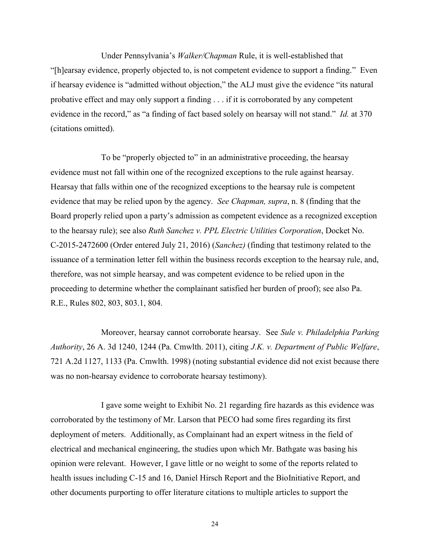Under Pennsylvania's *Walker/Chapman* Rule, it is well-established that "[h]earsay evidence, properly objected to, is not competent evidence to support a finding." Even if hearsay evidence is "admitted without objection," the ALJ must give the evidence "its natural probative effect and may only support a finding . . . if it is corroborated by any competent evidence in the record," as "a finding of fact based solely on hearsay will not stand." *Id.* at 370 (citations omitted).

To be "properly objected to" in an administrative proceeding, the hearsay evidence must not fall within one of the recognized exceptions to the rule against hearsay. Hearsay that falls within one of the recognized exceptions to the hearsay rule is competent evidence that may be relied upon by the agency. *See Chapman, supra*, n. 8 (finding that the Board properly relied upon a party's admission as competent evidence as a recognized exception to the hearsay rule); see also *Ruth Sanchez v. PPL Electric Utilities Corporation*, Docket No. C-2015-2472600 (Order entered July 21, 2016) (*Sanchez)* (finding that testimony related to the issuance of a termination letter fell within the business records exception to the hearsay rule, and, therefore, was not simple hearsay, and was competent evidence to be relied upon in the proceeding to determine whether the complainant satisfied her burden of proof); see also Pa. R.E., Rules 802, 803, 803.1, 804.

Moreover, hearsay cannot corroborate hearsay. See *Sule v. Philadelphia Parking Authority*, 26 A. 3d 1240, 1244 (Pa. Cmwlth. 2011), citing *J.K. v. Department of Public Welfare*, 721 A.2d 1127, 1133 (Pa. Cmwlth. 1998) (noting substantial evidence did not exist because there was no non-hearsay evidence to corroborate hearsay testimony).

I gave some weight to Exhibit No. 21 regarding fire hazards as this evidence was corroborated by the testimony of Mr. Larson that PECO had some fires regarding its first deployment of meters. Additionally, as Complainant had an expert witness in the field of electrical and mechanical engineering, the studies upon which Mr. Bathgate was basing his opinion were relevant. However, I gave little or no weight to some of the reports related to health issues including C-15 and 16, Daniel Hirsch Report and the BioInitiative Report, and other documents purporting to offer literature citations to multiple articles to support the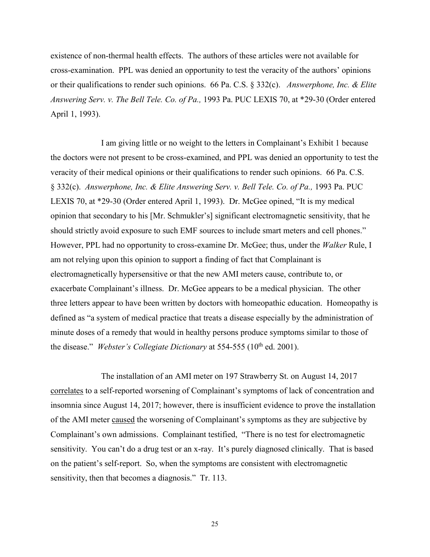existence of non-thermal health effects. The authors of these articles were not available for cross-examination. PPL was denied an opportunity to test the veracity of the authors' opinions or their qualifications to render such opinions. 66 Pa. C.S. § 332(c). *Answerphone, Inc. & Elite Answering Serv. v. The Bell Tele. Co. of Pa.,* 1993 Pa. PUC LEXIS 70, at \*29-30 (Order entered April 1, 1993).

I am giving little or no weight to the letters in Complainant's Exhibit 1 because the doctors were not present to be cross-examined, and PPL was denied an opportunity to test the veracity of their medical opinions or their qualifications to render such opinions. 66 Pa. C.S. § 332(c). *Answerphone, Inc. & Elite Answering Serv. v. Bell Tele. Co. of Pa.,* 1993 Pa. PUC LEXIS 70, at \*29-30 (Order entered April 1, 1993). Dr. McGee opined, "It is my medical opinion that secondary to his [Mr. Schmukler's] significant electromagnetic sensitivity, that he should strictly avoid exposure to such EMF sources to include smart meters and cell phones." However, PPL had no opportunity to cross-examine Dr. McGee; thus, under the *Walker* Rule, I am not relying upon this opinion to support a finding of fact that Complainant is electromagnetically hypersensitive or that the new AMI meters cause, contribute to, or exacerbate Complainant's illness. Dr. McGee appears to be a medical physician. The other three letters appear to have been written by doctors with homeopathic education. Homeopathy is defined as "a system of medical practice that treats a disease especially by the administration of minute doses of a remedy that would in healthy persons produce symptoms similar to those of the disease." *Webster's Collegiate Dictionary* at 554-555 (10<sup>th</sup> ed. 2001).

The installation of an AMI meter on 197 Strawberry St. on August 14, 2017 correlates to a self-reported worsening of Complainant's symptoms of lack of concentration and insomnia since August 14, 2017; however, there is insufficient evidence to prove the installation of the AMI meter caused the worsening of Complainant's symptoms as they are subjective by Complainant's own admissions. Complainant testified, "There is no test for electromagnetic sensitivity. You can't do a drug test or an x-ray. It's purely diagnosed clinically. That is based on the patient's self-report. So, when the symptoms are consistent with electromagnetic sensitivity, then that becomes a diagnosis." Tr. 113.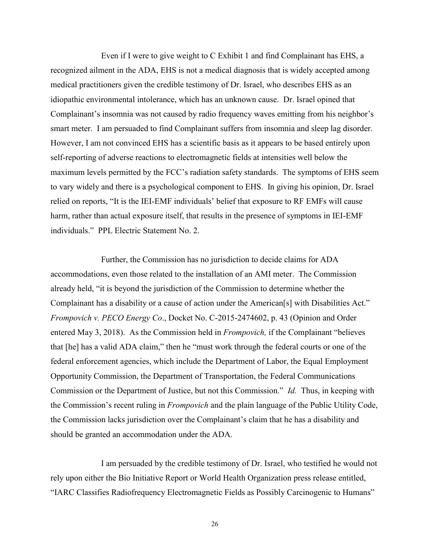Even if I were to give weight to C Exhibit 1 and find Complainant has EHS, a recognized ailment in the ADA, EHS is not a medical diagnosis that is widely accepted among medical practitioners given the credible testimony of Dr. Israel, who describes EHS as an idiopathic environmental intolerance, which has an unknown cause. Dr. Israel opined that Complainant's insomnia was not caused by radio frequency waves emitting from his neighbor's smart meter. I am persuaded to find Complainant suffers from insomnia and sleep lag disorder. However, I am not convinced EHS has a scientific basis as it appears to be based entirely upon self-reporting of adverse reactions to electromagnetic fields at intensities well below the maximum levels permitted by the FCC's radiation safety standards. The symptoms of EHS seem to vary widely and there is a psychological component to EHS. In giving his opinion, Dr. Israel relied on reports, "It is the IEI-EMF individuals' belief that exposure to RF EMFs will cause harm, rather than actual exposure itself, that results in the presence of symptoms in IEI-EMF individuals." PPL Electric Statement No. 2.

Further, the Commission has no jurisdiction to decide claims for ADA accommodations, even those related to the installation of an AMI meter. The Commission already held, "it is beyond the jurisdiction of the Commission to determine whether the Complainant has a disability or a cause of action under the American[s] with Disabilities Act." *Frompovich v. PECO Energy Co*., Docket No. C-2015-2474602, p. 43 (Opinion and Order entered May 3, 2018). As the Commission held in *Frompovich,* if the Complainant "believes that [he] has a valid ADA claim," then he "must work through the federal courts or one of the federal enforcement agencies, which include the Department of Labor, the Equal Employment Opportunity Commission, the Department of Transportation, the Federal Communications Commission or the Department of Justice, but not this Commission." *Id.* Thus, in keeping with the Commission's recent ruling in *Frompovich* and the plain language of the Public Utility Code, the Commission lacks jurisdiction over the Complainant's claim that he has a disability and should be granted an accommodation under the ADA.

I am persuaded by the credible testimony of Dr. Israel, who testified he would not rely upon either the Bio Initiative Report or World Health Organization press release entitled, "IARC Classifies Radiofrequency Electromagnetic Fields as Possibly Carcinogenic to Humans"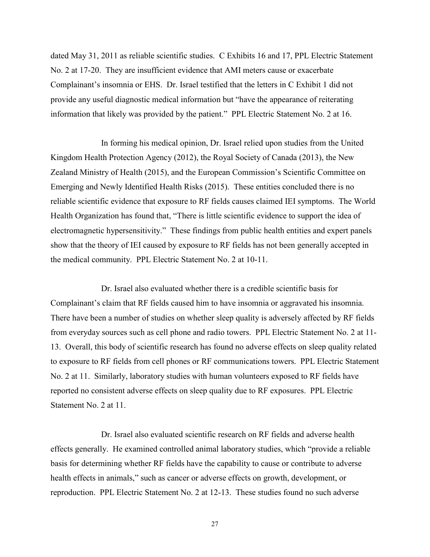dated May 31, 2011 as reliable scientific studies. C Exhibits 16 and 17, PPL Electric Statement No. 2 at 17-20. They are insufficient evidence that AMI meters cause or exacerbate Complainant's insomnia or EHS. Dr. Israel testified that the letters in C Exhibit 1 did not provide any useful diagnostic medical information but "have the appearance of reiterating information that likely was provided by the patient." PPL Electric Statement No. 2 at 16.

In forming his medical opinion, Dr. Israel relied upon studies from the United Kingdom Health Protection Agency (2012), the Royal Society of Canada (2013), the New Zealand Ministry of Health (2015), and the European Commission's Scientific Committee on Emerging and Newly Identified Health Risks (2015). These entities concluded there is no reliable scientific evidence that exposure to RF fields causes claimed IEI symptoms. The World Health Organization has found that, "There is little scientific evidence to support the idea of electromagnetic hypersensitivity." These findings from public health entities and expert panels show that the theory of IEI caused by exposure to RF fields has not been generally accepted in the medical community. PPL Electric Statement No. 2 at 10-11.

Dr. Israel also evaluated whether there is a credible scientific basis for Complainant's claim that RF fields caused him to have insomnia or aggravated his insomnia. There have been a number of studies on whether sleep quality is adversely affected by RF fields from everyday sources such as cell phone and radio towers. PPL Electric Statement No. 2 at 11- 13. Overall, this body of scientific research has found no adverse effects on sleep quality related to exposure to RF fields from cell phones or RF communications towers. PPL Electric Statement No. 2 at 11. Similarly, laboratory studies with human volunteers exposed to RF fields have reported no consistent adverse effects on sleep quality due to RF exposures. PPL Electric Statement No. 2 at 11.

Dr. Israel also evaluated scientific research on RF fields and adverse health effects generally. He examined controlled animal laboratory studies, which "provide a reliable basis for determining whether RF fields have the capability to cause or contribute to adverse health effects in animals," such as cancer or adverse effects on growth, development, or reproduction. PPL Electric Statement No. 2 at 12-13. These studies found no such adverse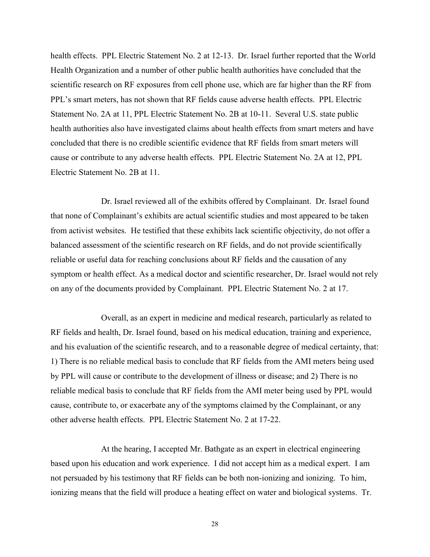health effects. PPL Electric Statement No. 2 at 12-13. Dr. Israel further reported that the World Health Organization and a number of other public health authorities have concluded that the scientific research on RF exposures from cell phone use, which are far higher than the RF from PPL's smart meters, has not shown that RF fields cause adverse health effects. PPL Electric Statement No. 2A at 11, PPL Electric Statement No. 2B at 10-11. Several U.S. state public health authorities also have investigated claims about health effects from smart meters and have concluded that there is no credible scientific evidence that RF fields from smart meters will cause or contribute to any adverse health effects. PPL Electric Statement No. 2A at 12, PPL Electric Statement No. 2B at 11.

Dr. Israel reviewed all of the exhibits offered by Complainant. Dr. Israel found that none of Complainant's exhibits are actual scientific studies and most appeared to be taken from activist websites. He testified that these exhibits lack scientific objectivity, do not offer a balanced assessment of the scientific research on RF fields, and do not provide scientifically reliable or useful data for reaching conclusions about RF fields and the causation of any symptom or health effect. As a medical doctor and scientific researcher, Dr. Israel would not rely on any of the documents provided by Complainant. PPL Electric Statement No. 2 at 17.

Overall, as an expert in medicine and medical research, particularly as related to RF fields and health, Dr. Israel found, based on his medical education, training and experience, and his evaluation of the scientific research, and to a reasonable degree of medical certainty, that: 1) There is no reliable medical basis to conclude that RF fields from the AMI meters being used by PPL will cause or contribute to the development of illness or disease; and 2) There is no reliable medical basis to conclude that RF fields from the AMI meter being used by PPL would cause, contribute to, or exacerbate any of the symptoms claimed by the Complainant, or any other adverse health effects. PPL Electric Statement No. 2 at 17-22.

At the hearing, I accepted Mr. Bathgate as an expert in electrical engineering based upon his education and work experience. I did not accept him as a medical expert. I am not persuaded by his testimony that RF fields can be both non-ionizing and ionizing. To him, ionizing means that the field will produce a heating effect on water and biological systems. Tr.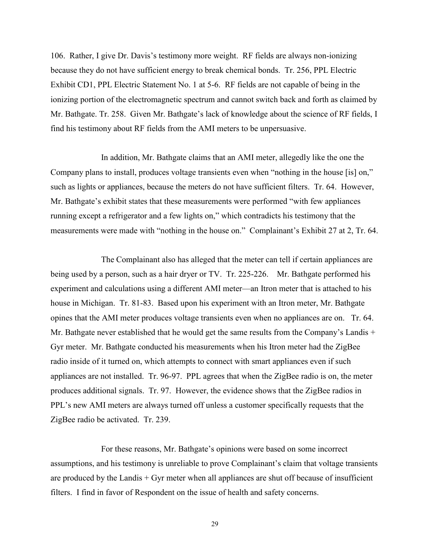106. Rather, I give Dr. Davis's testimony more weight. RF fields are always non-ionizing because they do not have sufficient energy to break chemical bonds. Tr. 256, PPL Electric Exhibit CD1, PPL Electric Statement No. 1 at 5-6. RF fields are not capable of being in the ionizing portion of the electromagnetic spectrum and cannot switch back and forth as claimed by Mr. Bathgate. Tr. 258. Given Mr. Bathgate's lack of knowledge about the science of RF fields, I find his testimony about RF fields from the AMI meters to be unpersuasive.

In addition, Mr. Bathgate claims that an AMI meter, allegedly like the one the Company plans to install, produces voltage transients even when "nothing in the house [is] on," such as lights or appliances, because the meters do not have sufficient filters. Tr. 64. However, Mr. Bathgate's exhibit states that these measurements were performed "with few appliances running except a refrigerator and a few lights on," which contradicts his testimony that the measurements were made with "nothing in the house on." Complainant's Exhibit 27 at 2, Tr. 64.

The Complainant also has alleged that the meter can tell if certain appliances are being used by a person, such as a hair dryer or TV. Tr. 225-226. Mr. Bathgate performed his experiment and calculations using a different AMI meter—an Itron meter that is attached to his house in Michigan. Tr. 81-83. Based upon his experiment with an Itron meter, Mr. Bathgate opines that the AMI meter produces voltage transients even when no appliances are on. Tr. 64. Mr. Bathgate never established that he would get the same results from the Company's Landis + Gyr meter. Mr. Bathgate conducted his measurements when his Itron meter had the ZigBee radio inside of it turned on, which attempts to connect with smart appliances even if such appliances are not installed. Tr. 96-97. PPL agrees that when the ZigBee radio is on, the meter produces additional signals. Tr. 97. However, the evidence shows that the ZigBee radios in PPL's new AMI meters are always turned off unless a customer specifically requests that the ZigBee radio be activated. Tr. 239.

For these reasons, Mr. Bathgate's opinions were based on some incorrect assumptions, and his testimony is unreliable to prove Complainant's claim that voltage transients are produced by the Landis  $+$  Gyr meter when all appliances are shut off because of insufficient filters. I find in favor of Respondent on the issue of health and safety concerns.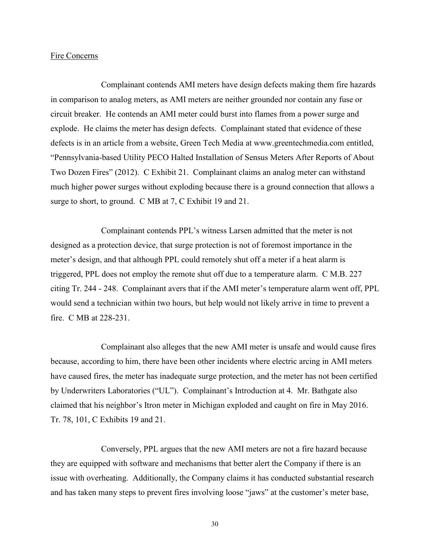#### Fire Concerns

Complainant contends AMI meters have design defects making them fire hazards in comparison to analog meters, as AMI meters are neither grounded nor contain any fuse or circuit breaker. He contends an AMI meter could burst into flames from a power surge and explode. He claims the meter has design defects. Complainant stated that evidence of these defects is in an article from a website, Green Tech Media at www.greentechmedia.com entitled, "Pennsylvania-based Utility PECO Halted Installation of Sensus Meters After Reports of About Two Dozen Fires" (2012). C Exhibit 21. Complainant claims an analog meter can withstand much higher power surges without exploding because there is a ground connection that allows a surge to short, to ground. C MB at 7, C Exhibit 19 and 21.

Complainant contends PPL's witness Larsen admitted that the meter is not designed as a protection device, that surge protection is not of foremost importance in the meter's design, and that although PPL could remotely shut off a meter if a heat alarm is triggered, PPL does not employ the remote shut off due to a temperature alarm. C M.B. 227 citing Tr. 244 - 248. Complainant avers that if the AMI meter's temperature alarm went off, PPL would send a technician within two hours, but help would not likely arrive in time to prevent a fire. C MB at 228-231.

Complainant also alleges that the new AMI meter is unsafe and would cause fires because, according to him, there have been other incidents where electric arcing in AMI meters have caused fires, the meter has inadequate surge protection, and the meter has not been certified by Underwriters Laboratories ("UL"). Complainant's Introduction at 4. Mr. Bathgate also claimed that his neighbor's Itron meter in Michigan exploded and caught on fire in May 2016. Tr. 78, 101, C Exhibits 19 and 21.

Conversely, PPL argues that the new AMI meters are not a fire hazard because they are equipped with software and mechanisms that better alert the Company if there is an issue with overheating. Additionally, the Company claims it has conducted substantial research and has taken many steps to prevent fires involving loose "jaws" at the customer's meter base,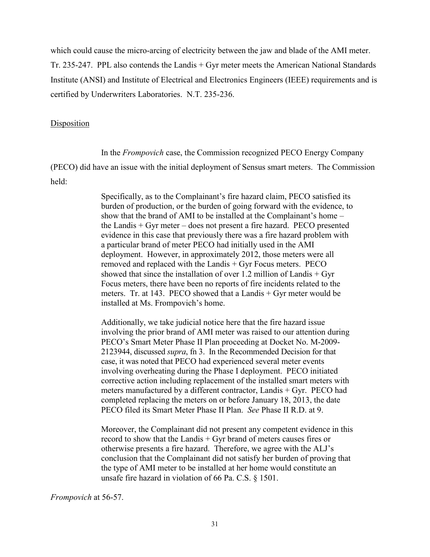which could cause the micro-arcing of electricity between the jaw and blade of the AMI meter.

Tr. 235-247. PPL also contends the Landis + Gyr meter meets the American National Standards Institute (ANSI) and Institute of Electrical and Electronics Engineers (IEEE) requirements and is certified by Underwriters Laboratories. N.T. 235-236.

# Disposition

In the *Frompovich* case, the Commission recognized PECO Energy Company

(PECO) did have an issue with the initial deployment of Sensus smart meters. The Commission held:

> Specifically, as to the Complainant's fire hazard claim, PECO satisfied its burden of production, or the burden of going forward with the evidence, to show that the brand of AMI to be installed at the Complainant's home – the Landis + Gyr meter – does not present a fire hazard. PECO presented evidence in this case that previously there was a fire hazard problem with a particular brand of meter PECO had initially used in the AMI deployment. However, in approximately 2012, those meters were all removed and replaced with the Landis + Gyr Focus meters. PECO showed that since the installation of over 1.2 million of Landis  $+$  Gyr Focus meters, there have been no reports of fire incidents related to the meters. Tr. at 143. PECO showed that a Landis + Gyr meter would be installed at Ms. Frompovich's home.

Additionally, we take judicial notice here that the fire hazard issue involving the prior brand of AMI meter was raised to our attention during PECO's Smart Meter Phase II Plan proceeding at Docket No. M-2009- 2123944, discussed *supra*, fn 3. In the Recommended Decision for that case, it was noted that PECO had experienced several meter events involving overheating during the Phase I deployment. PECO initiated corrective action including replacement of the installed smart meters with meters manufactured by a different contractor, Landis + Gyr. PECO had completed replacing the meters on or before January 18, 2013, the date PECO filed its Smart Meter Phase II Plan. *See* Phase II R.D. at 9.

Moreover, the Complainant did not present any competent evidence in this record to show that the Landis + Gyr brand of meters causes fires or otherwise presents a fire hazard. Therefore, we agree with the ALJ's conclusion that the Complainant did not satisfy her burden of proving that the type of AMI meter to be installed at her home would constitute an unsafe fire hazard in violation of 66 Pa. C.S. § 1501.

*Frompovich* at 56-57.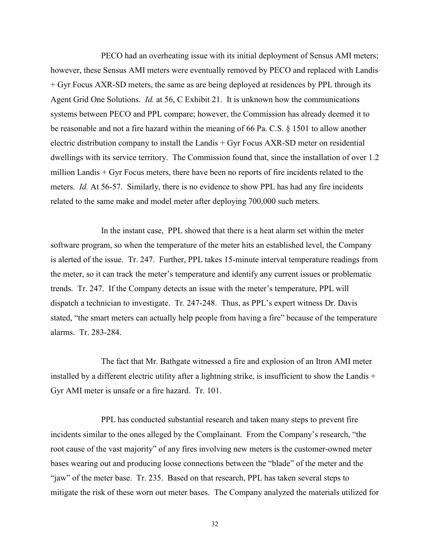PECO had an overheating issue with its initial deployment of Sensus AMI meters; however, these Sensus AMI meters were eventually removed by PECO and replaced with Landis + Gyr Focus AXR-SD meters, the same as are being deployed at residences by PPL through its Agent Grid One Solutions. *Id.* at 56, C Exhibit 21. It is unknown how the communications systems between PECO and PPL compare; however, the Commission has already deemed it to be reasonable and not a fire hazard within the meaning of 66 Pa. C.S. § 1501 to allow another electric distribution company to install the Landis + Gyr Focus AXR-SD meter on residential dwellings with its service territory. The Commission found that, since the installation of over 1.2 million Landis + Gyr Focus meters, there have been no reports of fire incidents related to the meters. *Id.* At 56-57. Similarly, there is no evidence to show PPL has had any fire incidents related to the same make and model meter after deploying 700,000 such meters.

In the instant case, PPL showed that there is a heat alarm set within the meter software program, so when the temperature of the meter hits an established level, the Company is alerted of the issue. Tr. 247. Further, PPL takes 15-minute interval temperature readings from the meter, so it can track the meter's temperature and identify any current issues or problematic trends. Tr. 247. If the Company detects an issue with the meter's temperature, PPL will dispatch a technician to investigate. Tr. 247-248. Thus, as PPL's expert witness Dr. Davis stated, "the smart meters can actually help people from having a fire" because of the temperature alarms. Tr. 283-284.

The fact that Mr. Bathgate witnessed a fire and explosion of an Itron AMI meter installed by a different electric utility after a lightning strike, is insufficient to show the Landis + Gyr AMI meter is unsafe or a fire hazard. Tr. 101.

PPL has conducted substantial research and taken many steps to prevent fire incidents similar to the ones alleged by the Complainant. From the Company's research, "the root cause of the vast majority" of any fires involving new meters is the customer-owned meter bases wearing out and producing loose connections between the "blade" of the meter and the "jaw" of the meter base. Tr. 235. Based on that research, PPL has taken several steps to mitigate the risk of these worn out meter bases. The Company analyzed the materials utilized for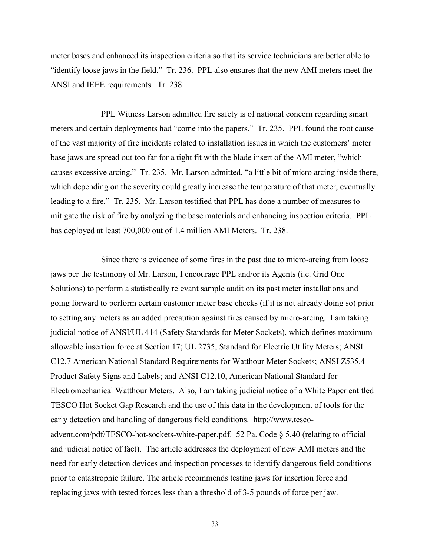meter bases and enhanced its inspection criteria so that its service technicians are better able to "identify loose jaws in the field." Tr. 236. PPL also ensures that the new AMI meters meet the ANSI and IEEE requirements. Tr. 238.

PPL Witness Larson admitted fire safety is of national concern regarding smart meters and certain deployments had "come into the papers." Tr. 235. PPL found the root cause of the vast majority of fire incidents related to installation issues in which the customers' meter base jaws are spread out too far for a tight fit with the blade insert of the AMI meter, "which causes excessive arcing." Tr. 235. Mr. Larson admitted, "a little bit of micro arcing inside there, which depending on the severity could greatly increase the temperature of that meter, eventually leading to a fire." Tr. 235. Mr. Larson testified that PPL has done a number of measures to mitigate the risk of fire by analyzing the base materials and enhancing inspection criteria. PPL has deployed at least 700,000 out of 1.4 million AMI Meters. Tr. 238.

Since there is evidence of some fires in the past due to micro-arcing from loose jaws per the testimony of Mr. Larson, I encourage PPL and/or its Agents (i.e. Grid One Solutions) to perform a statistically relevant sample audit on its past meter installations and going forward to perform certain customer meter base checks (if it is not already doing so) prior to setting any meters as an added precaution against fires caused by micro-arcing. I am taking judicial notice of ANSI/UL 414 (Safety Standards for Meter Sockets), which defines maximum allowable insertion force at Section 17; UL 2735, Standard for Electric Utility Meters; ANSI C12.7 American National Standard Requirements for Watthour Meter Sockets; ANSI Z535.4 Product Safety Signs and Labels; and ANSI C12.10, American National Standard for Electromechanical Watthour Meters. Also, I am taking judicial notice of a White Paper entitled TESCO Hot Socket Gap Research and the use of this data in the development of tools for the early detection and handling of dangerous field conditions. http://www.tescoadvent.com/pdf/TESCO-hot-sockets-white-paper.pdf. 52 Pa. Code § 5.40 (relating to official and judicial notice of fact). The article addresses the deployment of new AMI meters and the need for early detection devices and inspection processes to identify dangerous field conditions prior to catastrophic failure. The article recommends testing jaws for insertion force and replacing jaws with tested forces less than a threshold of 3-5 pounds of force per jaw.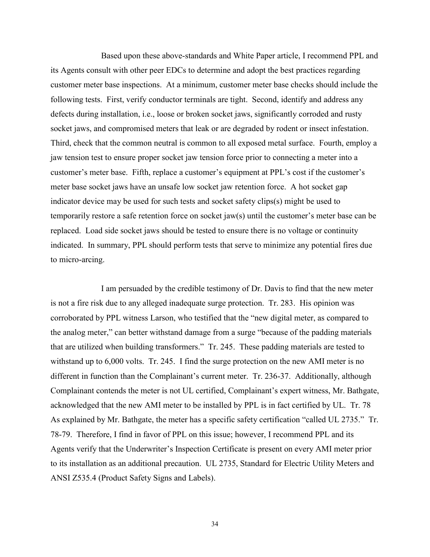Based upon these above-standards and White Paper article, I recommend PPL and its Agents consult with other peer EDCs to determine and adopt the best practices regarding customer meter base inspections. At a minimum, customer meter base checks should include the following tests. First, verify conductor terminals are tight. Second, identify and address any defects during installation, i.e., loose or broken socket jaws, significantly corroded and rusty socket jaws, and compromised meters that leak or are degraded by rodent or insect infestation. Third, check that the common neutral is common to all exposed metal surface. Fourth, employ a jaw tension test to ensure proper socket jaw tension force prior to connecting a meter into a customer's meter base. Fifth, replace a customer's equipment at PPL's cost if the customer's meter base socket jaws have an unsafe low socket jaw retention force. A hot socket gap indicator device may be used for such tests and socket safety clips(s) might be used to temporarily restore a safe retention force on socket jaw(s) until the customer's meter base can be replaced. Load side socket jaws should be tested to ensure there is no voltage or continuity indicated. In summary, PPL should perform tests that serve to minimize any potential fires due to micro-arcing.

I am persuaded by the credible testimony of Dr. Davis to find that the new meter is not a fire risk due to any alleged inadequate surge protection. Tr. 283. His opinion was corroborated by PPL witness Larson, who testified that the "new digital meter, as compared to the analog meter," can better withstand damage from a surge "because of the padding materials that are utilized when building transformers." Tr. 245. These padding materials are tested to withstand up to 6,000 volts. Tr. 245. I find the surge protection on the new AMI meter is no different in function than the Complainant's current meter. Tr. 236-37. Additionally, although Complainant contends the meter is not UL certified, Complainant's expert witness, Mr. Bathgate, acknowledged that the new AMI meter to be installed by PPL is in fact certified by UL. Tr. 78 As explained by Mr. Bathgate, the meter has a specific safety certification "called UL 2735." Tr. 78-79. Therefore, I find in favor of PPL on this issue; however, I recommend PPL and its Agents verify that the Underwriter's Inspection Certificate is present on every AMI meter prior to its installation as an additional precaution. UL 2735, Standard for Electric Utility Meters and ANSI Z535.4 (Product Safety Signs and Labels).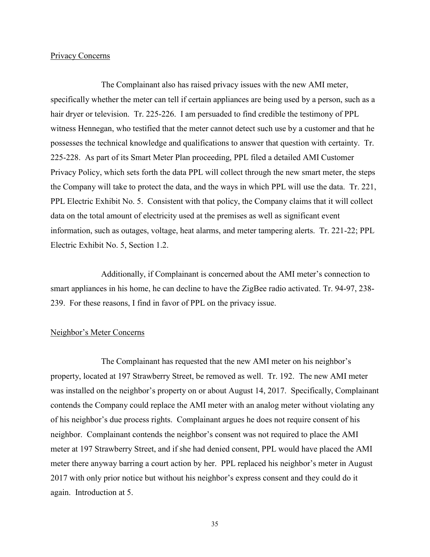## Privacy Concerns

The Complainant also has raised privacy issues with the new AMI meter, specifically whether the meter can tell if certain appliances are being used by a person, such as a hair dryer or television. Tr. 225-226. I am persuaded to find credible the testimony of PPL witness Hennegan, who testified that the meter cannot detect such use by a customer and that he possesses the technical knowledge and qualifications to answer that question with certainty. Tr. 225-228. As part of its Smart Meter Plan proceeding, PPL filed a detailed AMI Customer Privacy Policy, which sets forth the data PPL will collect through the new smart meter, the steps the Company will take to protect the data, and the ways in which PPL will use the data. Tr. 221, PPL Electric Exhibit No. 5. Consistent with that policy, the Company claims that it will collect data on the total amount of electricity used at the premises as well as significant event information, such as outages, voltage, heat alarms, and meter tampering alerts. Tr. 221-22; PPL Electric Exhibit No. 5, Section 1.2.

Additionally, if Complainant is concerned about the AMI meter's connection to smart appliances in his home, he can decline to have the ZigBee radio activated. Tr. 94-97, 238- 239. For these reasons, I find in favor of PPL on the privacy issue.

### Neighbor's Meter Concerns

The Complainant has requested that the new AMI meter on his neighbor's property, located at 197 Strawberry Street, be removed as well. Tr. 192. The new AMI meter was installed on the neighbor's property on or about August 14, 2017. Specifically, Complainant contends the Company could replace the AMI meter with an analog meter without violating any of his neighbor's due process rights. Complainant argues he does not require consent of his neighbor. Complainant contends the neighbor's consent was not required to place the AMI meter at 197 Strawberry Street, and if she had denied consent, PPL would have placed the AMI meter there anyway barring a court action by her. PPL replaced his neighbor's meter in August 2017 with only prior notice but without his neighbor's express consent and they could do it again. Introduction at 5.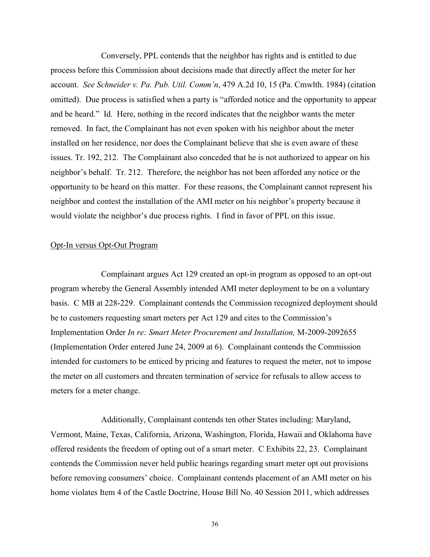Conversely, PPL contends that the neighbor has rights and is entitled to due process before this Commission about decisions made that directly affect the meter for her account. *See Schneider v. Pa. Pub. Util. Comm'n*, 479 A.2d 10, 15 (Pa. Cmwlth. 1984) (citation omitted). Due process is satisfied when a party is "afforded notice and the opportunity to appear and be heard." Id. Here, nothing in the record indicates that the neighbor wants the meter removed. In fact, the Complainant has not even spoken with his neighbor about the meter installed on her residence, nor does the Complainant believe that she is even aware of these issues. Tr. 192, 212. The Complainant also conceded that he is not authorized to appear on his neighbor's behalf. Tr. 212. Therefore, the neighbor has not been afforded any notice or the opportunity to be heard on this matter. For these reasons, the Complainant cannot represent his neighbor and contest the installation of the AMI meter on his neighbor's property because it would violate the neighbor's due process rights. I find in favor of PPL on this issue.

## Opt-In versus Opt-Out Program

Complainant argues Act 129 created an opt-in program as opposed to an opt-out program whereby the General Assembly intended AMI meter deployment to be on a voluntary basis. C MB at 228-229. Complainant contends the Commission recognized deployment should be to customers requesting smart meters per Act 129 and cites to the Commission's Implementation Order *In re: Smart Meter Procurement and Installation,* M-2009-2092655 (Implementation Order entered June 24, 2009 at 6). Complainant contends the Commission intended for customers to be enticed by pricing and features to request the meter, not to impose the meter on all customers and threaten termination of service for refusals to allow access to meters for a meter change.

Additionally, Complainant contends ten other States including: Maryland, Vermont, Maine, Texas, California, Arizona, Washington, Florida, Hawaii and Oklahoma have offered residents the freedom of opting out of a smart meter. C Exhibits 22, 23. Complainant contends the Commission never held public hearings regarding smart meter opt out provisions before removing consumers' choice. Complainant contends placement of an AMI meter on his home violates Item 4 of the Castle Doctrine, House Bill No. 40 Session 2011, which addresses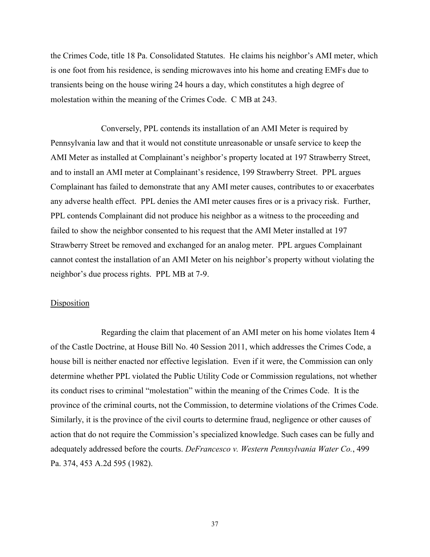the Crimes Code, title 18 Pa. Consolidated Statutes. He claims his neighbor's AMI meter, which is one foot from his residence, is sending microwaves into his home and creating EMFs due to transients being on the house wiring 24 hours a day, which constitutes a high degree of molestation within the meaning of the Crimes Code. C MB at 243.

Conversely, PPL contends its installation of an AMI Meter is required by Pennsylvania law and that it would not constitute unreasonable or unsafe service to keep the AMI Meter as installed at Complainant's neighbor's property located at 197 Strawberry Street, and to install an AMI meter at Complainant's residence, 199 Strawberry Street. PPL argues Complainant has failed to demonstrate that any AMI meter causes, contributes to or exacerbates any adverse health effect. PPL denies the AMI meter causes fires or is a privacy risk. Further, PPL contends Complainant did not produce his neighbor as a witness to the proceeding and failed to show the neighbor consented to his request that the AMI Meter installed at 197 Strawberry Street be removed and exchanged for an analog meter. PPL argues Complainant cannot contest the installation of an AMI Meter on his neighbor's property without violating the neighbor's due process rights. PPL MB at 7-9.

## Disposition

Regarding the claim that placement of an AMI meter on his home violates Item 4 of the Castle Doctrine, at House Bill No. 40 Session 2011, which addresses the Crimes Code, a house bill is neither enacted nor effective legislation. Even if it were, the Commission can only determine whether PPL violated the Public Utility Code or Commission regulations, not whether its conduct rises to criminal "molestation" within the meaning of the Crimes Code. It is the province of the criminal courts, not the Commission, to determine violations of the Crimes Code. Similarly, it is the province of the civil courts to determine fraud, negligence or other causes of action that do not require the Commission's specialized knowledge. Such cases can be fully and adequately addressed before the courts. *DeFrancesco v. Western Pennsylvania Water Co.*, 499 Pa. 374, 453 A.2d 595 (1982).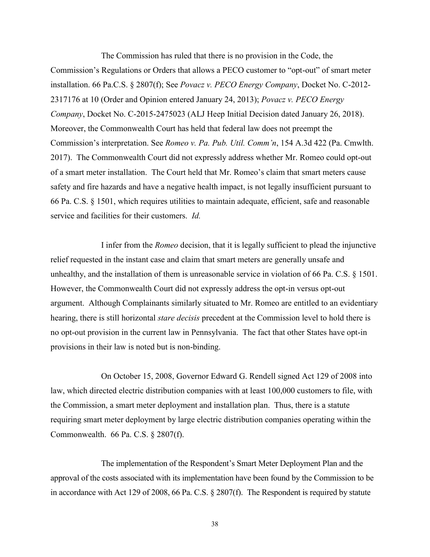The Commission has ruled that there is no provision in the Code, the Commission's Regulations or Orders that allows a PECO customer to "opt-out" of smart meter installation. 66 Pa.C.S. § 2807(f); See *Povacz v. PECO Energy Company*, Docket No. C-2012- 2317176 at 10 (Order and Opinion entered January 24, 2013); *Povacz v. PECO Energy Company*, Docket No. C-2015-2475023 (ALJ Heep Initial Decision dated January 26, 2018). Moreover, the Commonwealth Court has held that federal law does not preempt the Commission's interpretation. See *Romeo v. Pa. Pub. Util. Comm'n*, 154 A.3d 422 (Pa. Cmwlth. 2017). The Commonwealth Court did not expressly address whether Mr. Romeo could opt-out of a smart meter installation. The Court held that Mr. Romeo's claim that smart meters cause safety and fire hazards and have a negative health impact, is not legally insufficient pursuant to 66 Pa. C.S. § 1501, which requires utilities to maintain adequate, efficient, safe and reasonable service and facilities for their customers. *Id.* 

I infer from the *Romeo* decision, that it is legally sufficient to plead the injunctive relief requested in the instant case and claim that smart meters are generally unsafe and unhealthy, and the installation of them is unreasonable service in violation of 66 Pa. C.S. § 1501. However, the Commonwealth Court did not expressly address the opt-in versus opt-out argument. Although Complainants similarly situated to Mr. Romeo are entitled to an evidentiary hearing, there is still horizontal *stare decisis* precedent at the Commission level to hold there is no opt-out provision in the current law in Pennsylvania. The fact that other States have opt-in provisions in their law is noted but is non-binding.

On October 15, 2008, Governor Edward G. Rendell signed Act 129 of 2008 into law, which directed electric distribution companies with at least 100,000 customers to file, with the Commission, a smart meter deployment and installation plan. Thus, there is a statute requiring smart meter deployment by large electric distribution companies operating within the Commonwealth. 66 Pa. C.S. § 2807(f).

The implementation of the Respondent's Smart Meter Deployment Plan and the approval of the costs associated with its implementation have been found by the Commission to be in accordance with Act 129 of 2008, 66 Pa. C.S. § 2807(f). The Respondent is required by statute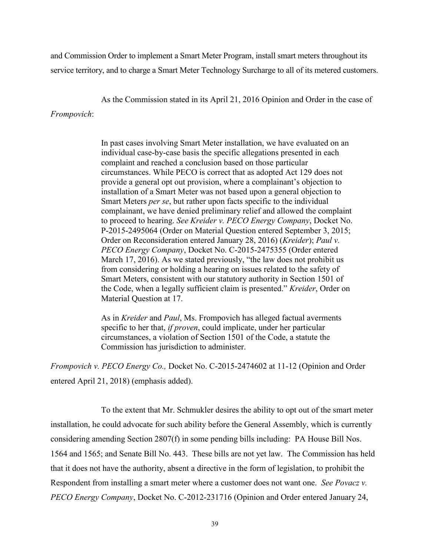and Commission Order to implement a Smart Meter Program, install smart meters throughout its service territory, and to charge a Smart Meter Technology Surcharge to all of its metered customers.

As the Commission stated in its April 21, 2016 Opinion and Order in the case of

## *Frompovich*:

In past cases involving Smart Meter installation, we have evaluated on an individual case-by-case basis the specific allegations presented in each complaint and reached a conclusion based on those particular circumstances. While PECO is correct that as adopted Act 129 does not provide a general opt out provision, where a complainant's objection to installation of a Smart Meter was not based upon a general objection to Smart Meters *per se*, but rather upon facts specific to the individual complainant, we have denied preliminary relief and allowed the complaint to proceed to hearing. *See Kreider v. PECO Energy Company*, Docket No. P-2015-2495064 (Order on Material Question entered September 3, 2015; Order on Reconsideration entered January 28, 2016) (*Kreider*); *Paul v. PECO Energy Company*, Docket No. C-2015-2475355 (Order entered March 17, 2016). As we stated previously, "the law does not prohibit us from considering or holding a hearing on issues related to the safety of Smart Meters, consistent with our statutory authority in Section 1501 of the Code, when a legally sufficient claim is presented." *Kreider*, Order on Material Question at 17.

As in *Kreider* and *Paul*, Ms. Frompovich has alleged factual averments specific to her that, *if proven*, could implicate, under her particular circumstances, a violation of Section 1501 of the Code, a statute the Commission has jurisdiction to administer.

*Frompovich v. PECO Energy Co.,* Docket No. C-2015-2474602 at 11-12 (Opinion and Order entered April 21, 2018) (emphasis added).

To the extent that Mr. Schmukler desires the ability to opt out of the smart meter installation, he could advocate for such ability before the General Assembly, which is currently considering amending Section 2807(f) in some pending bills including: PA House Bill Nos. 1564 and 1565; and Senate Bill No. 443. These bills are not yet law. The Commission has held that it does not have the authority, absent a directive in the form of legislation, to prohibit the Respondent from installing a smart meter where a customer does not want one. *See Povacz v. PECO Energy Company*, Docket No. C-2012-231716 (Opinion and Order entered January 24,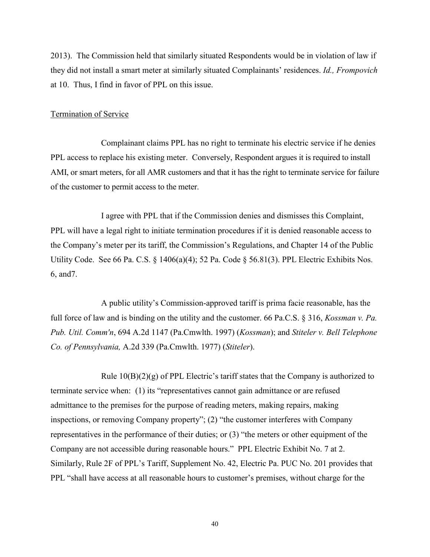2013). The Commission held that similarly situated Respondents would be in violation of law if they did not install a smart meter at similarly situated Complainants' residences. *Id., Frompovich*  at 10. Thus, I find in favor of PPL on this issue.

#### Termination of Service

Complainant claims PPL has no right to terminate his electric service if he denies PPL access to replace his existing meter. Conversely, Respondent argues it is required to install AMI, or smart meters, for all AMR customers and that it has the right to terminate service for failure of the customer to permit access to the meter.

I agree with PPL that if the Commission denies and dismisses this Complaint, PPL will have a legal right to initiate termination procedures if it is denied reasonable access to the Company's meter per its tariff, the Commission's Regulations, and Chapter 14 of the Public Utility Code. See 66 Pa. C.S. § 1406(a)(4); 52 Pa. Code § 56.81(3). PPL Electric Exhibits Nos. 6, and7.

A public utility's Commission-approved tariff is prima facie reasonable, has the full force of law and is binding on the utility and the customer. 66 Pa.C.S. § 316, *Kossman v. Pa. Pub. Util. Comm'n*, 694 A.2d 1147 (Pa.Cmwlth. 1997) (*Kossman*); and *Stiteler v. Bell Telephone Co. of Pennsylvania,* A.2d 339 (Pa.Cmwlth. 1977) (*Stiteler*).

Rule  $10(B)(2)(g)$  of PPL Electric's tariff states that the Company is authorized to terminate service when: (1) its "representatives cannot gain admittance or are refused admittance to the premises for the purpose of reading meters, making repairs, making inspections, or removing Company property"; (2) "the customer interferes with Company representatives in the performance of their duties; or (3) "the meters or other equipment of the Company are not accessible during reasonable hours." PPL Electric Exhibit No. 7 at 2. Similarly, Rule 2F of PPL's Tariff, Supplement No. 42, Electric Pa. PUC No. 201 provides that PPL "shall have access at all reasonable hours to customer's premises, without charge for the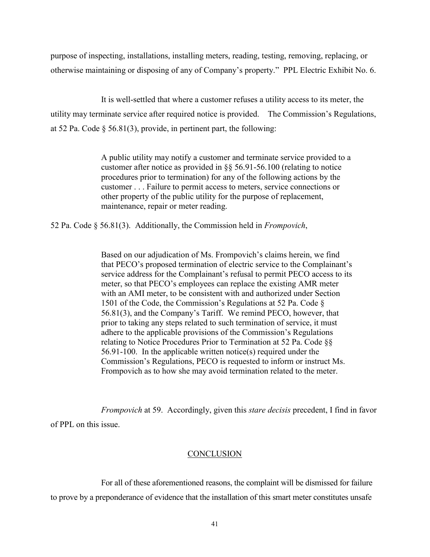purpose of inspecting, installations, installing meters, reading, testing, removing, replacing, or otherwise maintaining or disposing of any of Company's property." PPL Electric Exhibit No. 6.

It is well-settled that where a customer refuses a utility access to its meter, the utility may terminate service after required notice is provided. The Commission's Regulations, at 52 Pa. Code § 56.81(3), provide, in pertinent part, the following:

> A public utility may notify a customer and terminate service provided to a customer after notice as provided in §§ 56.91-56.100 (relating to notice procedures prior to termination) for any of the following actions by the customer . . . Failure to permit access to meters, service connections or other property of the public utility for the purpose of replacement, maintenance, repair or meter reading.

52 Pa. Code § 56.81(3). Additionally, the Commission held in *Frompovich*,

Based on our adjudication of Ms. Frompovich's claims herein, we find that PECO's proposed termination of electric service to the Complainant's service address for the Complainant's refusal to permit PECO access to its meter, so that PECO's employees can replace the existing AMR meter with an AMI meter, to be consistent with and authorized under Section 1501 of the Code, the Commission's Regulations at 52 Pa. Code § 56.81(3), and the Company's Tariff. We remind PECO, however, that prior to taking any steps related to such termination of service, it must adhere to the applicable provisions of the Commission's Regulations relating to Notice Procedures Prior to Termination at 52 Pa. Code §§ 56.91-100. In the applicable written notice(s) required under the Commission's Regulations, PECO is requested to inform or instruct Ms. Frompovich as to how she may avoid termination related to the meter.

*Frompovich* at 59. Accordingly, given this *stare decisis* precedent, I find in favor of PPL on this issue.

### **CONCLUSION**

For all of these aforementioned reasons, the complaint will be dismissed for failure to prove by a preponderance of evidence that the installation of this smart meter constitutes unsafe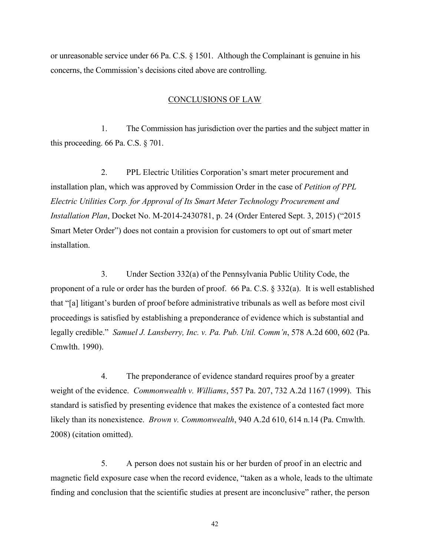or unreasonable service under 66 Pa. C.S. § 1501. Although the Complainant is genuine in his concerns, the Commission's decisions cited above are controlling.

## CONCLUSIONS OF LAW

1. The Commission has jurisdiction over the parties and the subject matter in this proceeding. 66 Pa. C.S. § 701.

2. PPL Electric Utilities Corporation's smart meter procurement and installation plan, which was approved by Commission Order in the case of *Petition of PPL Electric Utilities Corp. for Approval of Its Smart Meter Technology Procurement and Installation Plan*, Docket No. M-2014-2430781, p. 24 (Order Entered Sept. 3, 2015) ("2015 Smart Meter Order") does not contain a provision for customers to opt out of smart meter installation.

3. Under Section 332(a) of the Pennsylvania Public Utility Code, the proponent of a rule or order has the burden of proof. 66 Pa. C.S. § 332(a). It is well established that "[a] litigant's burden of proof before administrative tribunals as well as before most civil proceedings is satisfied by establishing a preponderance of evidence which is substantial and legally credible." *Samuel J. Lansberry, Inc. v. Pa. Pub. Util. Comm'n*, 578 A.2d 600, 602 (Pa. Cmwlth. 1990).

4. The preponderance of evidence standard requires proof by a greater weight of the evidence. *Commonwealth v. Williams*, 557 Pa. 207, 732 A.2d 1167 (1999). This standard is satisfied by presenting evidence that makes the existence of a contested fact more likely than its nonexistence. *Brown v. Commonwealth*, 940 A.2d 610, 614 n.14 (Pa. Cmwlth. 2008) (citation omitted).

5. A person does not sustain his or her burden of proof in an electric and magnetic field exposure case when the record evidence, "taken as a whole, leads to the ultimate finding and conclusion that the scientific studies at present are inconclusive" rather, the person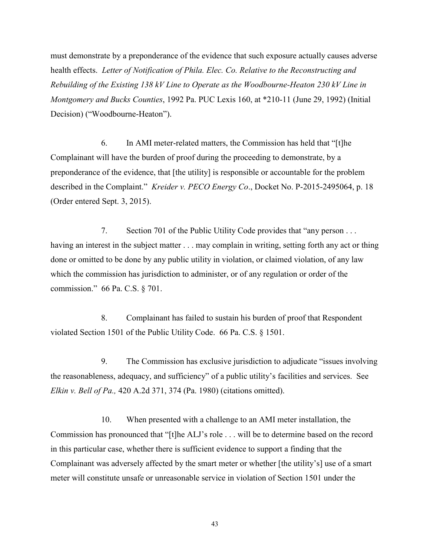must demonstrate by a preponderance of the evidence that such exposure actually causes adverse health effects. *Letter of Notification of Phila. Elec. Co. Relative to the Reconstructing and Rebuilding of the Existing 138 kV Line to Operate as the Woodbourne-Heaton 230 kV Line in Montgomery and Bucks Counties*, 1992 Pa. PUC Lexis 160, at \*210-11 (June 29, 1992) (Initial Decision) ("Woodbourne-Heaton").

6. In AMI meter-related matters, the Commission has held that "[t]he Complainant will have the burden of proof during the proceeding to demonstrate, by a preponderance of the evidence, that [the utility] is responsible or accountable for the problem described in the Complaint." *Kreider v. PECO Energy Co*., Docket No. P-2015-2495064, p. 18 (Order entered Sept. 3, 2015).

7. Section 701 of the Public Utility Code provides that "any person . . . having an interest in the subject matter . . . may complain in writing, setting forth any act or thing done or omitted to be done by any public utility in violation, or claimed violation, of any law which the commission has jurisdiction to administer, or of any regulation or order of the commission." 66 Pa. C.S. § 701.

8. Complainant has failed to sustain his burden of proof that Respondent violated Section 1501 of the Public Utility Code. 66 Pa. C.S. § 1501.

9. The Commission has exclusive jurisdiction to adjudicate "issues involving the reasonableness, adequacy, and sufficiency" of a public utility's facilities and services. See *Elkin v. Bell of Pa.,* 420 A.2d 371, 374 (Pa. 1980) (citations omitted).

10. When presented with a challenge to an AMI meter installation, the Commission has pronounced that "[t]he ALJ's role . . . will be to determine based on the record in this particular case, whether there is sufficient evidence to support a finding that the Complainant was adversely affected by the smart meter or whether [the utility's] use of a smart meter will constitute unsafe or unreasonable service in violation of Section 1501 under the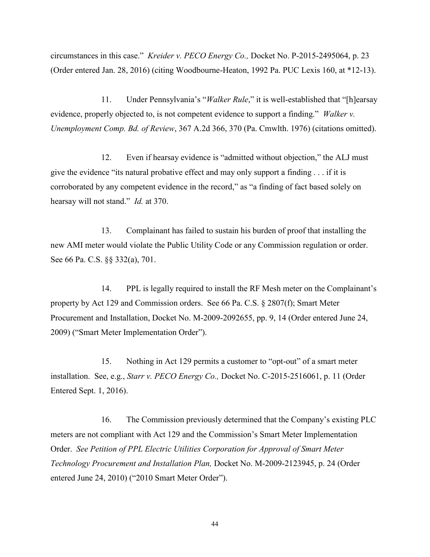circumstances in this case." *Kreider v. PECO Energy Co.,* Docket No. P-2015-2495064, p. 23 (Order entered Jan. 28, 2016) (citing Woodbourne-Heaton, 1992 Pa. PUC Lexis 160, at \*12-13).

11. Under Pennsylvania's "*Walker Rule*," it is well-established that "[h]earsay evidence, properly objected to, is not competent evidence to support a finding." *Walker v. Unemployment Comp. Bd. of Review*, 367 A.2d 366, 370 (Pa. Cmwlth. 1976) (citations omitted).

12. Even if hearsay evidence is "admitted without objection," the ALJ must give the evidence "its natural probative effect and may only support a finding  $\dots$  if it is corroborated by any competent evidence in the record," as "a finding of fact based solely on hearsay will not stand." *Id.* at 370.

13. Complainant has failed to sustain his burden of proof that installing the new AMI meter would violate the Public Utility Code or any Commission regulation or order. See 66 Pa. C.S. §§ 332(a), 701.

14. PPL is legally required to install the RF Mesh meter on the Complainant's property by Act 129 and Commission orders. See 66 Pa. C.S. § 2807(f); Smart Meter Procurement and Installation, Docket No. M-2009-2092655, pp. 9, 14 (Order entered June 24, 2009) ("Smart Meter Implementation Order").

15. Nothing in Act 129 permits a customer to "opt-out" of a smart meter installation. See, e.g., *Starr v. PECO Energy Co.,* Docket No. C-2015-2516061, p. 11 (Order Entered Sept. 1, 2016).

16. The Commission previously determined that the Company's existing PLC meters are not compliant with Act 129 and the Commission's Smart Meter Implementation Order. *See Petition of PPL Electric Utilities Corporation for Approval of Smart Meter Technology Procurement and Installation Plan,* Docket No. M-2009-2123945, p. 24 (Order entered June 24, 2010) ("2010 Smart Meter Order").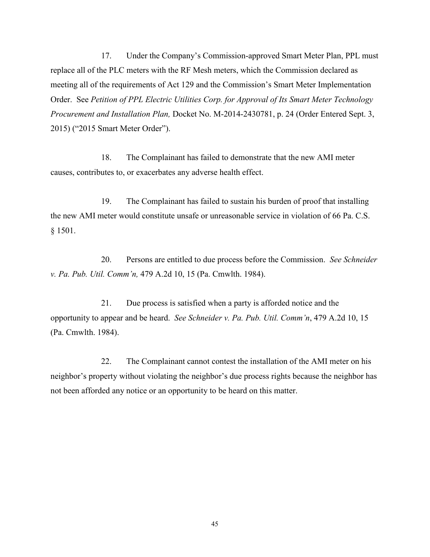17. Under the Company's Commission-approved Smart Meter Plan, PPL must replace all of the PLC meters with the RF Mesh meters, which the Commission declared as meeting all of the requirements of Act 129 and the Commission's Smart Meter Implementation Order. See *Petition of PPL Electric Utilities Corp. for Approval of Its Smart Meter Technology Procurement and Installation Plan,* Docket No. M-2014-2430781, p. 24 (Order Entered Sept. 3, 2015) ("2015 Smart Meter Order").

18. The Complainant has failed to demonstrate that the new AMI meter causes, contributes to, or exacerbates any adverse health effect.

19. The Complainant has failed to sustain his burden of proof that installing the new AMI meter would constitute unsafe or unreasonable service in violation of 66 Pa. C.S. § 1501.

20. Persons are entitled to due process before the Commission. *See Schneider v. Pa. Pub. Util. Comm'n,* 479 A.2d 10, 15 (Pa. Cmwlth. 1984).

21. Due process is satisfied when a party is afforded notice and the opportunity to appear and be heard. *See Schneider v. Pa. Pub. Util. Comm'n*, 479 A.2d 10, 15 (Pa. Cmwlth. 1984).

22. The Complainant cannot contest the installation of the AMI meter on his neighbor's property without violating the neighbor's due process rights because the neighbor has not been afforded any notice or an opportunity to be heard on this matter.